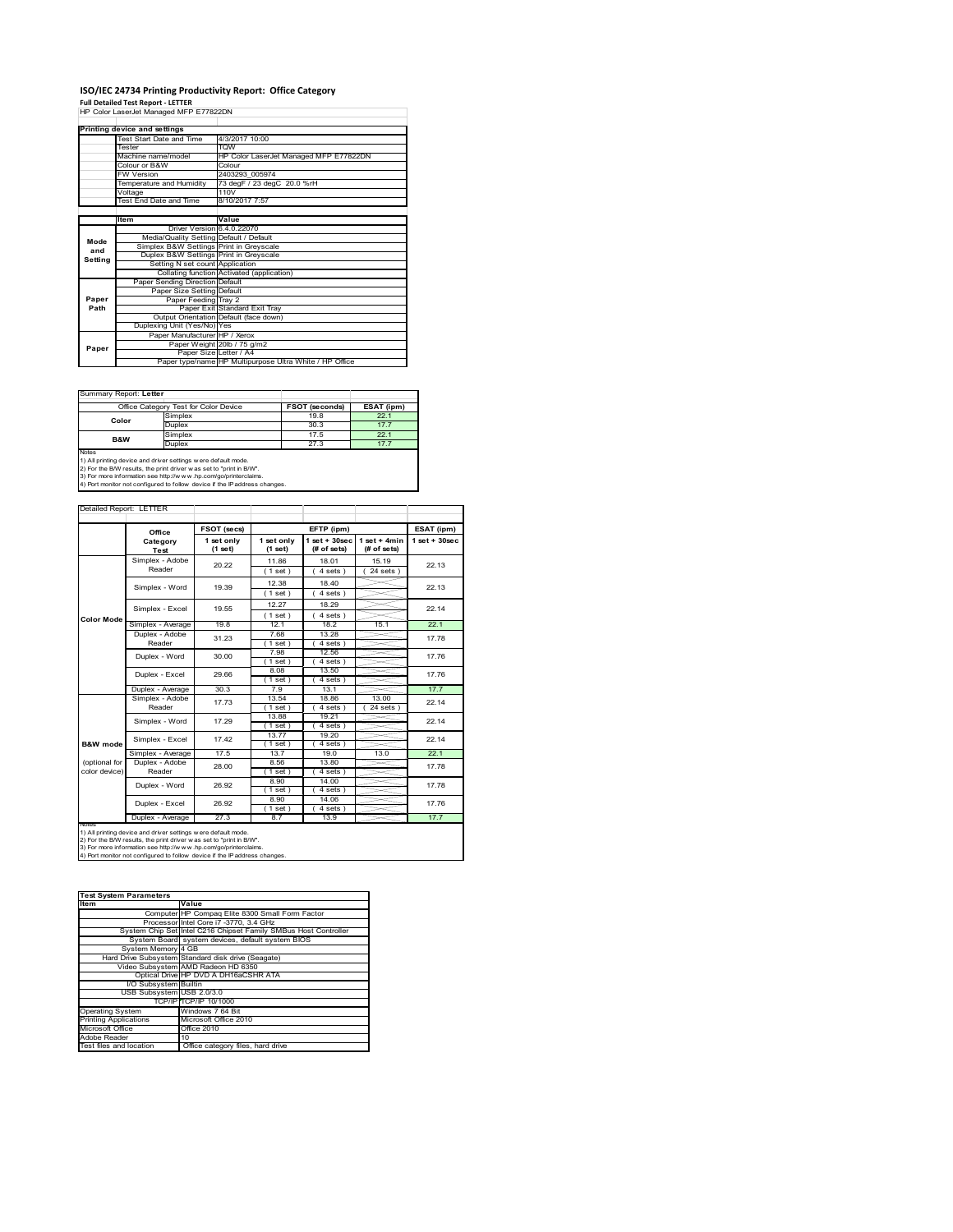# **ISO/IEC 24734 Printing Productivity Report: Office Category Full Detailed Test Report ‐ LETTER** HP Color LaserJet Managed MFP E77822DN

|         | Printing device and settings            |                                                         |  |  |
|---------|-----------------------------------------|---------------------------------------------------------|--|--|
|         | Test Start Date and Time                | 4/3/2017 10:00                                          |  |  |
|         | Tester                                  | <b>TOW</b>                                              |  |  |
|         | Machine name/model                      | HP Color LaserJet Managed MFP E77822DN                  |  |  |
|         | Colour or B&W                           | Colour                                                  |  |  |
|         | <b>FW Version</b>                       | 2403293 005974                                          |  |  |
|         | Temperature and Humidity                | 73 degF / 23 degC 20.0 %rH                              |  |  |
|         | Voltage                                 | 110V                                                    |  |  |
|         | <b>Test End Date and Time</b>           | 8/10/2017 7:57                                          |  |  |
|         |                                         |                                                         |  |  |
|         | Item                                    | Value                                                   |  |  |
|         | Driver Version 6.4.0.22070              |                                                         |  |  |
| Mode    | Media/Quality Setting Default / Default |                                                         |  |  |
| and     | Simplex B&W Settings Print in Greyscale |                                                         |  |  |
| Setting | Duplex B&W Settings Print in Greyscale  |                                                         |  |  |
|         | Setting N set count Application         |                                                         |  |  |
|         |                                         | Collating function Activated (application)              |  |  |
|         | Paper Sending Direction Default         |                                                         |  |  |
|         | Paper Size Setting Default              |                                                         |  |  |
| Paper   | Paper Feeding Tray 2                    |                                                         |  |  |
| Path    |                                         | Paper Exit Standard Exit Tray                           |  |  |
|         |                                         | Output Orientation Default (face down)                  |  |  |
|         | Duplexing Unit (Yes/No) Yes             |                                                         |  |  |
|         | Paper Manufacturer HP / Xerox           |                                                         |  |  |
| Paper   |                                         | Paper Weight 20lb / 75 g/m2                             |  |  |
|         | Paper Size Letter / A4                  |                                                         |  |  |
|         |                                         | Paper type/name HP Multipurpose Ultra White / HP Office |  |  |

h

#### Summary Report: **Letter**

|                | Office Category Test for Color Device | <b>FSOT (seconds)</b> | ESAT (ipm) |
|----------------|---------------------------------------|-----------------------|------------|
| Color          | Simplex                               | 19.8                  | 22.1       |
|                | <b>Duplex</b>                         | 30.3                  | 17.7       |
| <b>B&amp;W</b> | Simplex                               | 17.5                  | 22.1       |
|                | Duplex                                | 27.3                  | 17.7       |
| Notes          |                                       |                       |            |

Notes<br>1) All printing device and driver settings were default mode.<br>2) For the B/W results, the print driver was set to "print in B/W".<br>3) For more information see http://www.vhp.com/go/printerclaims.<br>4) Por more informati

Detailed Report: LETTER

|                                                                                                                                                                                                                                                                                                        |                            | FSOT (secs)           |                         | EFTP (ipm)                     |                               | ESAT (ipm)         |
|--------------------------------------------------------------------------------------------------------------------------------------------------------------------------------------------------------------------------------------------------------------------------------------------------------|----------------------------|-----------------------|-------------------------|--------------------------------|-------------------------------|--------------------|
|                                                                                                                                                                                                                                                                                                        | Office<br>Category<br>Test | 1 set only<br>(1 set) | 1 set only<br>$(1$ set) | $1$ set + 30sec<br>(# of sets) | $1$ set + 4min<br>(# of sets) | $1$ set + $30$ sec |
|                                                                                                                                                                                                                                                                                                        | Simplex - Adobe<br>Reader  | 20.22                 | 11.86<br>$1$ set)       | 18.01<br>4 sets                | 15.19<br>24 sets 1            | 22.13              |
|                                                                                                                                                                                                                                                                                                        | Simplex - Word             | 19.39                 | 12.38<br>(1 set)        | 18.40<br>4 sets)               |                               | 22.13              |
|                                                                                                                                                                                                                                                                                                        | Simplex - Excel            | 19.55                 | 12.27<br>$1$ set)       | 18.29<br>$4 sets$ )            |                               | 22.14              |
| <b>Color Mode</b>                                                                                                                                                                                                                                                                                      | Simplex - Average          | 19.8                  | 12.1                    | 18.2                           | 15.1                          | 22.1               |
|                                                                                                                                                                                                                                                                                                        | Duplex - Adobe<br>Reader   | 31.23                 | 7.68<br>$1$ set)        | 13.28<br>$4 sets$ )            |                               | 17.78              |
|                                                                                                                                                                                                                                                                                                        | Duplex - Word              | 30.00                 | 7.98<br>$1$ set)        | 12.56<br>$4 sets$ )            |                               | 17.76              |
|                                                                                                                                                                                                                                                                                                        | Duplex - Excel             | 29.66                 | 8.08<br>$1$ set         | 13.50<br>4 sets                |                               | 17.76              |
|                                                                                                                                                                                                                                                                                                        | Duplex - Average           | 30.3                  | 7.9                     | 13.1                           |                               | 17.7               |
|                                                                                                                                                                                                                                                                                                        | Simplex - Adobe<br>Reader  | 17.73                 | 13.54<br>$1$ set        | 18.86<br>4 sets                | 13.00<br>$24$ sets            | 22.14              |
|                                                                                                                                                                                                                                                                                                        | Simplex - Word             | 17.29                 | 13.88<br>$1$ set        | 19.21<br>4 sets)               |                               | 22.14              |
| B&W mode                                                                                                                                                                                                                                                                                               | Simplex - Excel            | 17.42                 | 13.77<br>$1$ set        | 19.20<br>4 sets                |                               | 22.14              |
|                                                                                                                                                                                                                                                                                                        | Simplex - Average          | 17.5                  | 13.7                    | 13.0<br>19.0                   |                               | 22.1               |
| (optional for<br>color device)                                                                                                                                                                                                                                                                         | Duplex - Adobe<br>Reader   | 28.00                 | 8.56<br>(1 set )        | 13.80<br>$4 sets$ )            |                               | 17.78              |
|                                                                                                                                                                                                                                                                                                        | Duplex - Word              | 26.92                 | 8.90<br>1 set           | 14.00<br>4 sets                |                               | 17.78              |
|                                                                                                                                                                                                                                                                                                        | Duplex - Excel             | 26.92                 | 8.90<br>$1$ set         | 14.06<br>4 sets                |                               | 17.76              |
|                                                                                                                                                                                                                                                                                                        | Duplex - Average           | 27.3                  | 8.7                     | 13.9                           |                               | 17.7               |
| <b>NOtes</b><br>1) All printing device and driver settings w ere default mode.<br>2) For the B/W results, the print driver was set to "print in B/W".<br>3) For more information see http://www.hp.com/go/printerclaims.<br>4) Port monitor not configured to follow device if the IP address changes. |                            |                       |                         |                                |                               |                    |

| <b>Test System Parameters</b> |                                                                 |  |  |
|-------------------------------|-----------------------------------------------------------------|--|--|
| Item                          | Value                                                           |  |  |
|                               | Computer HP Compaq Elite 8300 Small Form Factor                 |  |  |
|                               | Processor Intel Core i7 -3770, 3.4 GHz                          |  |  |
|                               | System Chip Set Intel C216 Chipset Family SMBus Host Controller |  |  |
|                               | System Board system devices, default system BIOS                |  |  |
| System Memory 4 GB            |                                                                 |  |  |
|                               | Hard Drive Subsystem Standard disk drive (Seagate)              |  |  |
|                               | Video Subsystem AMD Radeon HD 6350                              |  |  |
|                               | Optical Drive HP DVD A DH16aCSHR ATA                            |  |  |
| I/O Subsystem Builtin         |                                                                 |  |  |
| USB Subsystem USB 2.0/3.0     |                                                                 |  |  |
|                               | TCP/IPITCP/IP 10/1000                                           |  |  |
| <b>Operating System</b>       | Windows 7 64 Bit                                                |  |  |
| <b>Printing Applications</b>  | Microsoft Office 2010                                           |  |  |
| Microsoft Office              | Office 2010                                                     |  |  |
| Adobe Reader                  | 10                                                              |  |  |
| Test files and location       | Office category files, hard drive                               |  |  |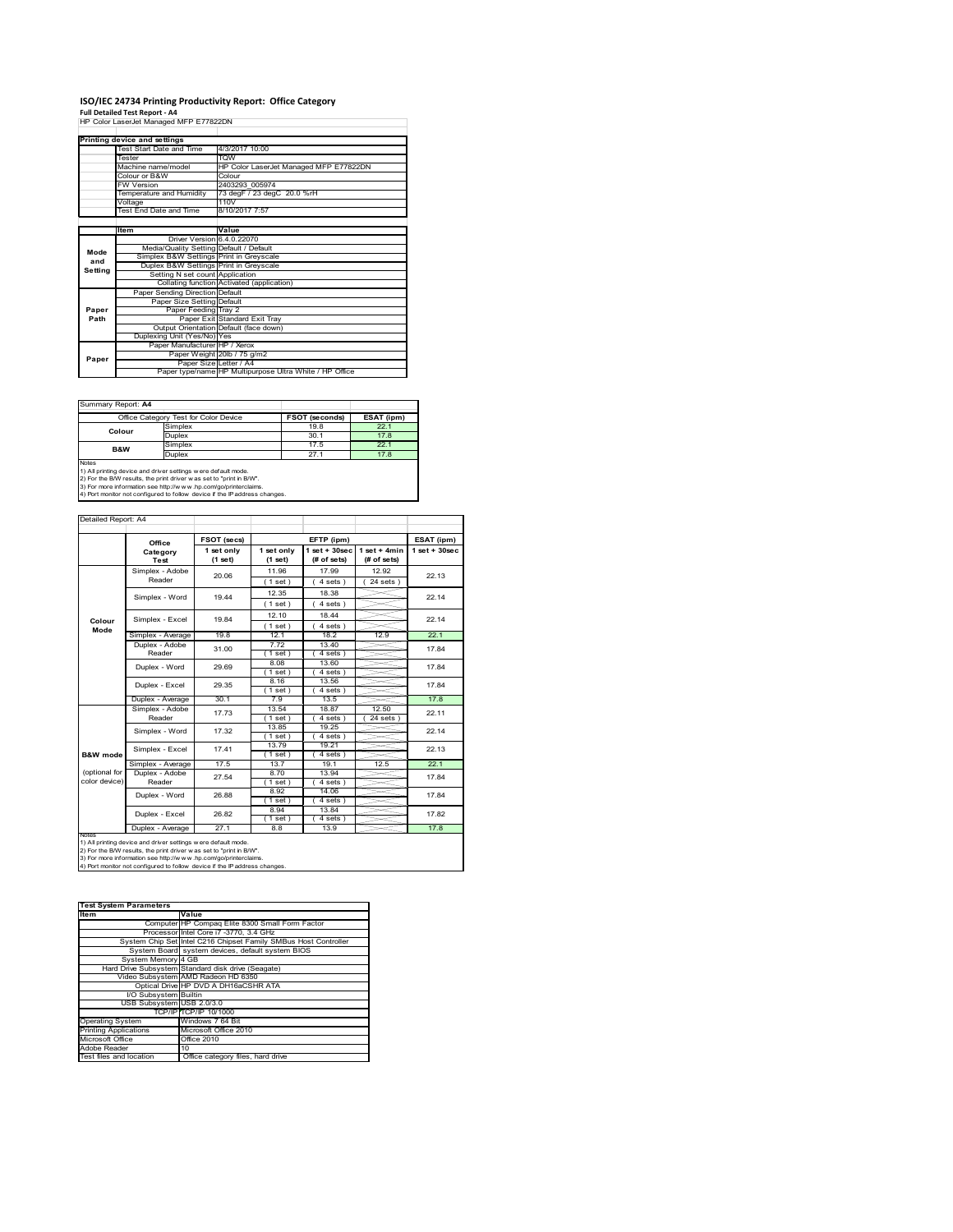# **ISO/IEC 24734 Printing Productivity Report: Office Category Full Detailed Test Report ‐ A4** HP Color LaserJet Managed MFP E77822DN

|                        | HP Color LaserJet Mahaded MFP E77822DN  |                                                         |  |
|------------------------|-----------------------------------------|---------------------------------------------------------|--|
|                        |                                         |                                                         |  |
|                        | Printing device and settings            |                                                         |  |
|                        | Test Start Date and Time                | 4/3/2017 10:00                                          |  |
|                        | Tester                                  | <b>TOW</b>                                              |  |
|                        | Machine name/model                      | HP Color LaserJet Managed MFP E77822DN                  |  |
|                        | Colour or B&W                           | Colour                                                  |  |
|                        | <b>FW Version</b>                       | 2403293 005974                                          |  |
|                        | Temperature and Humidity                | 73 degF / 23 degC 20.0 %rH                              |  |
|                        | Voltage                                 | 110V                                                    |  |
|                        | Test End Date and Time                  | 8/10/2017 7:57                                          |  |
|                        |                                         |                                                         |  |
|                        | Item                                    | Value                                                   |  |
|                        | Driver Version 6.4.0.22070              |                                                         |  |
| Mode<br>and<br>Setting | Media/Quality Setting Default / Default |                                                         |  |
|                        | Simplex B&W Settings Print in Greyscale |                                                         |  |
|                        | Duplex B&W Settings Print in Greyscale  |                                                         |  |
|                        | Setting N set count Application         |                                                         |  |
|                        |                                         | Collating function Activated (application)              |  |
|                        | Paper Sending Direction Default         |                                                         |  |
|                        | Paper Size Setting Default              |                                                         |  |
| Paper                  | Paper Feeding Tray 2                    |                                                         |  |
| Path                   |                                         | Paper Exit Standard Exit Tray                           |  |
|                        |                                         | Output Orientation Default (face down)                  |  |
|                        | Duplexing Unit (Yes/No) Yes             |                                                         |  |
|                        | Paper Manufacturer HP / Xerox           |                                                         |  |
| Paper                  |                                         | Paper Weight 20lb / 75 g/m2                             |  |
|                        |                                         | Paper Size Letter / A4                                  |  |
|                        |                                         | Paper type/name HP Multipurpose Ultra White / HP Office |  |

Summary Report: **A4**

|                                                               | Office Category Test for Color Device | <b>FSOT (seconds)</b> | ESAT (ipm) |  |  |
|---------------------------------------------------------------|---------------------------------------|-----------------------|------------|--|--|
| Colour                                                        | Simplex                               | 19.8                  | 22.1       |  |  |
|                                                               | Duplex                                | 30.1                  | 17.8       |  |  |
| <b>B&amp;W</b>                                                | Simplex                               | 17.5                  | 22.1       |  |  |
|                                                               | Duplex                                | 27.1                  | 17.8       |  |  |
| Notes                                                         |                                       |                       |            |  |  |
| 1) All printing device and driver cettings were default mode. |                                       |                       |            |  |  |

1) All printing device and driver settings were default mode.<br>2) For the B/W results, the print driver was set to "print in B/W".<br>3) For more information see http://www.hp.com/go/printerclaims.<br>4) Port monitor not configur

| Detailed Report: A4            |                           |                       |                         |                                   |                                |                   |
|--------------------------------|---------------------------|-----------------------|-------------------------|-----------------------------------|--------------------------------|-------------------|
|                                | Office                    | FSOT (secs)           |                         | EFTP (ipm)                        |                                | ESAT (ipm)        |
|                                | Category<br>Test          | 1 set only<br>(1 set) | 1 set only<br>$(1$ set) | $1$ set + $30$ sec<br>(# of sets) | $1 set + 4 min$<br>(# of sets) | $1$ set $+30$ sec |
|                                | Simplex - Adobe<br>Reader | 20.06                 | 11.96<br>(1 set)        | 17.99<br>$4 sets$ )               | 12.92<br>24 sets               | 22.13             |
|                                | Simplex - Word            | 19.44                 | 12.35                   | 18.38                             |                                | 22.14             |
| Colour                         | Simplex - Excel           | 19.84                 | $1$ set)<br>12.10       | $4 sets$ )<br>18.44               |                                | 22.14             |
| Mode                           | Simplex - Average         | 19.8                  | (1 set)<br>12.1         | 4 sets)<br>18.2                   | 12.9                           | 22.1              |
|                                | Duplex - Adobe<br>Reader  | 31.00                 | 7.72<br>$1$ set $)$     | 13.40<br>4 sets)                  |                                | 17.84             |
|                                | Duplex - Word             | 29.69                 | 8.08<br>$1$ set)        | 13.60<br>4 sets                   |                                | 17.84             |
|                                | Duplex - Excel            | 29.35                 | 8.16<br>$1$ set)        | 13.56<br>4 sets                   |                                | 17.84             |
|                                | Duplex - Average          | 30.1                  | 7.9                     | 13.5                              |                                | 17.8              |
|                                | Simplex - Adobe<br>Reader | 17.73                 | 13.54<br>$1$ set)       | 18.87<br>4 sets                   | 12.50<br>24 sets               | 22.11             |
|                                | Simplex - Word            | 17.32                 | 13.85<br>$1$ set)       | 19.25<br>$4 sets$ )               |                                | 22.14             |
| B&W mode                       | Simplex - Excel           | 17.41                 | 13.79<br>$1$ set $)$    | 19.21<br>4 sets                   |                                | 22.13             |
|                                | Simplex - Average         | 17.5                  | 13.7                    | 19.1                              | 12.5                           | 22.1              |
| (optional for<br>color device) | Duplex - Adobe<br>Reader  | 27.54                 | 8.70<br>$1$ set)        | 13.94<br>4 sets                   |                                | 17.84             |
|                                | Duplex - Word             | 26.88                 | 8.92<br>(1 set)         | 14.06<br>4 sets)                  |                                | 17.84             |
|                                | Duplex - Excel            | 26.82                 | 8.94<br>$1$ set)        | 13.84<br>4 sets 1                 |                                | 17.82             |
| <b>INOTES</b>                  | Duplex - Average          | 27.1                  | 8.8                     | 13.9                              |                                | 17.8              |

notes<br>1) All printing device and driver settings w ere default mode.<br>2) For the B/W results, the print driver was set to "print in B/W".<br>3) For more information see http://www.vhp.com/go/printerclaims.<br>4) For more informat

| <b>Test System Parameters</b><br><b>Item</b><br>Value<br>Computer HP Compaq Elite 8300 Small Form Factor<br>Processor Intel Core i7 -3770, 3.4 GHz<br>System Chip Set Intel C216 Chipset Family SMBus Host Controller<br>System Board system devices, default system BIOS<br>System Memory 4 GB<br>Hard Drive Subsystem Standard disk drive (Seagate)<br>Video Subsystem AMD Radeon HD 6350<br>Optical Drive HP DVD A DH16aCSHR ATA<br>I/O Subsystem Builtin<br>USB Subsystem USB 2.0/3.0 |  |
|-------------------------------------------------------------------------------------------------------------------------------------------------------------------------------------------------------------------------------------------------------------------------------------------------------------------------------------------------------------------------------------------------------------------------------------------------------------------------------------------|--|
|                                                                                                                                                                                                                                                                                                                                                                                                                                                                                           |  |
|                                                                                                                                                                                                                                                                                                                                                                                                                                                                                           |  |
|                                                                                                                                                                                                                                                                                                                                                                                                                                                                                           |  |
|                                                                                                                                                                                                                                                                                                                                                                                                                                                                                           |  |
|                                                                                                                                                                                                                                                                                                                                                                                                                                                                                           |  |
|                                                                                                                                                                                                                                                                                                                                                                                                                                                                                           |  |
|                                                                                                                                                                                                                                                                                                                                                                                                                                                                                           |  |
|                                                                                                                                                                                                                                                                                                                                                                                                                                                                                           |  |
|                                                                                                                                                                                                                                                                                                                                                                                                                                                                                           |  |
|                                                                                                                                                                                                                                                                                                                                                                                                                                                                                           |  |
|                                                                                                                                                                                                                                                                                                                                                                                                                                                                                           |  |
|                                                                                                                                                                                                                                                                                                                                                                                                                                                                                           |  |
| TCP/IPITCP/IP 10/1000                                                                                                                                                                                                                                                                                                                                                                                                                                                                     |  |
| Windows 7 64 Bit<br><b>Operating System</b>                                                                                                                                                                                                                                                                                                                                                                                                                                               |  |
| Microsoft Office 2010<br><b>Printing Applications</b>                                                                                                                                                                                                                                                                                                                                                                                                                                     |  |
| Microsoft Office<br>Office 2010                                                                                                                                                                                                                                                                                                                                                                                                                                                           |  |
| Adobe Reader<br>10                                                                                                                                                                                                                                                                                                                                                                                                                                                                        |  |
| Test files and location<br>Office category files, hard drive                                                                                                                                                                                                                                                                                                                                                                                                                              |  |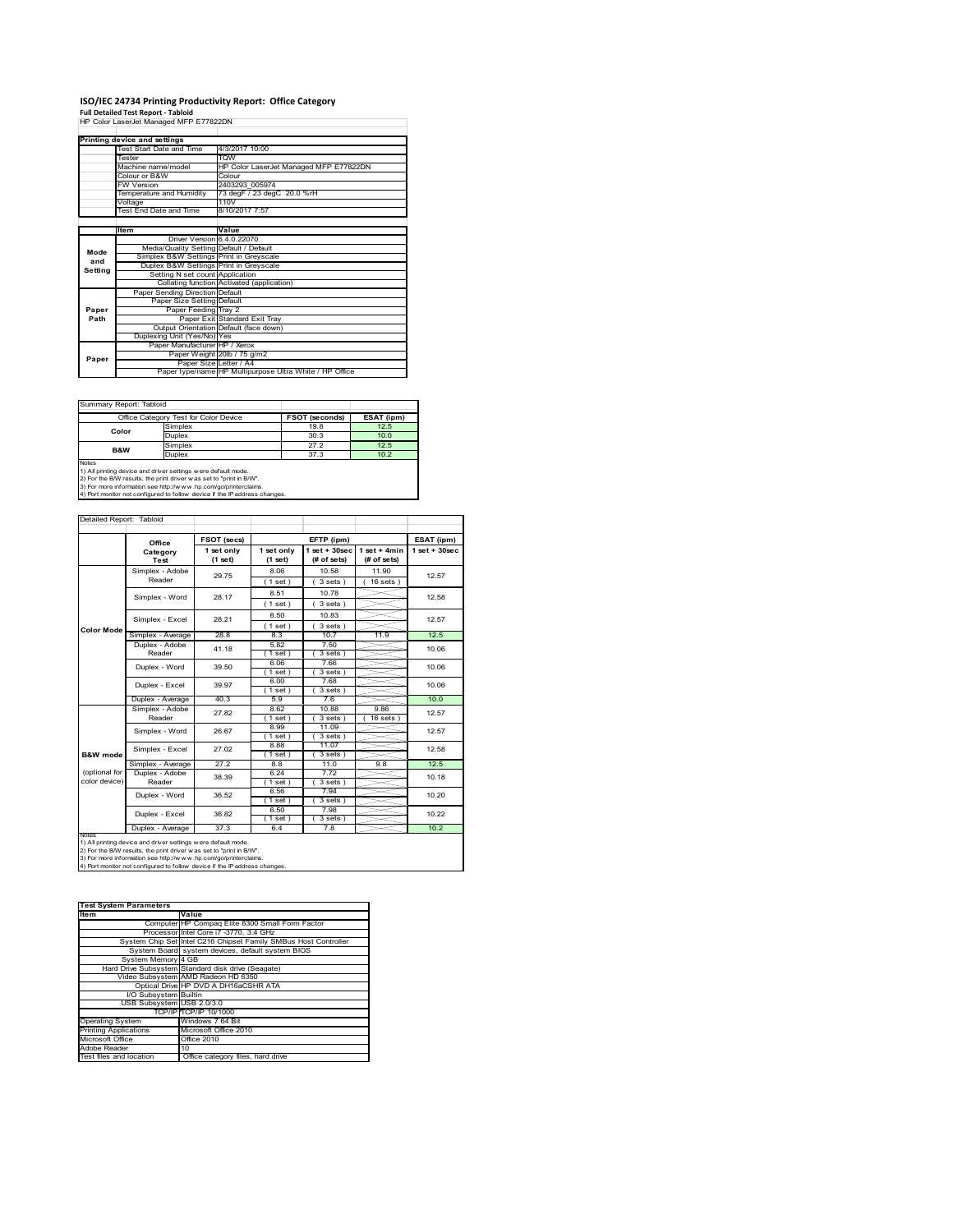# **ISO/IEC 24734 Printing Productivity Report: Office Category Full Detailed Test Report ‐ Tabloid** HP Color LaserJet Managed MFP E77822DN

|         | HP Color LaserJet Manaded MFP E77822DN  |                                                         |  |  |
|---------|-----------------------------------------|---------------------------------------------------------|--|--|
|         |                                         |                                                         |  |  |
|         | Printing device and settings            |                                                         |  |  |
|         | Test Start Date and Time                | 4/3/2017 10:00                                          |  |  |
|         | Tester                                  | <b>TOW</b>                                              |  |  |
|         | Machine name/model                      | HP Color LaserJet Managed MFP E77822DN                  |  |  |
|         | Colour or B&W                           | Colour                                                  |  |  |
|         | <b>FW Version</b>                       | 2403293 005974                                          |  |  |
|         | Temperature and Humidity                | 73 degF / 23 degC 20.0 %rH                              |  |  |
|         | Voltage                                 | 110V                                                    |  |  |
|         | Test End Date and Time                  | 8/10/2017 7:57                                          |  |  |
|         |                                         |                                                         |  |  |
|         | Item                                    | Value                                                   |  |  |
|         | Driver Version 6.4.0.22070              |                                                         |  |  |
| Mode    | Media/Quality Setting Default / Default |                                                         |  |  |
| and     | Simplex B&W Settings Print in Greyscale |                                                         |  |  |
| Setting | Duplex B&W Settings Print in Greyscale  |                                                         |  |  |
|         | Setting N set count Application         |                                                         |  |  |
|         |                                         | Collating function Activated (application)              |  |  |
|         | Paper Sending Direction Default         |                                                         |  |  |
|         | Paper Size Setting Default              |                                                         |  |  |
| Paper   | Paper Feeding Tray 2                    |                                                         |  |  |
| Path    |                                         | Paper Exit Standard Exit Tray                           |  |  |
|         |                                         | Output Orientation Default (face down)                  |  |  |
|         | Duplexing Unit (Yes/No) Yes             |                                                         |  |  |
|         | Paper Manufacturer HP / Xerox           |                                                         |  |  |
| Paper   |                                         | Paper Weight 20lb / 75 g/m2                             |  |  |
|         |                                         | Paper Size Letter / A4                                  |  |  |
|         |                                         | Paper type/name HP Multipurpose Ultra White / HP Office |  |  |

Summary Report: Tabloid

|                | Office Category Test for Color Device | FSOT (seconds) | ESAT (ipm) |
|----------------|---------------------------------------|----------------|------------|
| Color          | Simplex                               | 19.8           | 12.5       |
|                | Duplex                                | 30.3           | 10.0       |
| <b>B&amp;W</b> | Simplex                               | 27.2           | 12.5       |
|                | Duplex                                | 37.3           | 10.2       |
| Notes          |                                       |                |            |

Notes<br>1) All printing device and driver settings were default mode.<br>2) For the B/W results, the print driver was set to "print in B/W".<br>3) For more information see http://www.hp.com/go/printerclaims.<br>4) Por more informatio

| Detailed Report: Tabloid       |                                                   |                       |                       |                                   |                               |                   |
|--------------------------------|---------------------------------------------------|-----------------------|-----------------------|-----------------------------------|-------------------------------|-------------------|
|                                | Office                                            | FSOT (secs)           |                       | EFTP (ipm)                        |                               | ESAT (ipm)        |
|                                | Category<br>Test                                  | 1 set only<br>(1 set) | 1 set only<br>(1 set) | $1$ set + $30$ sec<br>(# of sets) | $1$ set + 4min<br>(# of sets) | $1$ set $+30$ sec |
|                                | Simplex - Adobe<br>Reader                         | 29.75                 | 8.06<br>(1 set)       | 10.58<br>$3 sets$ )               | 11.90<br>$16$ sets $)$        | 12.57             |
|                                | Simplex - Word                                    | 28.17                 | 8.51<br>$1$ set)      | 10.78<br>$3 sets$ )               |                               | 12.58             |
|                                | Simplex - Excel                                   | 28.21                 | 8.50                  | 10.83                             |                               | 12.57             |
| Color Mode                     | Simplex - Average                                 | 28.8                  | (1 set)<br>8.3        | 3 sets)<br>10.7                   | 11.9                          | 12.5              |
|                                | Duplex - Adobe<br>Reader                          | 41.18                 | 5.82<br>$1$ set)      | 7.50<br>3 sets)                   |                               | 10.06             |
|                                | Duplex - Word<br>39.50<br>Duplex - Excel<br>39.97 |                       | 6.06<br>$1$ set)      | 7.66<br>$3 sets$ )                |                               | 10.06             |
|                                |                                                   | 6.00<br>$1$ set)      | 7.68<br>3 sets)       |                                   | 10.06                         |                   |
|                                | Duplex - Average                                  | 40.3                  | 59                    | 76                                |                               | 10.0              |
|                                | Simplex - Adobe<br>Reader                         | 27.82                 | 8.62<br>$1$ set)      | 10.88<br>3 sets                   | 9.86<br>$16$ sets $)$         | 12.57             |
|                                | Simplex - Word                                    | 26.67                 | 8.99<br>$1$ set)      | 11.09<br>3 sets)                  |                               | 12.57             |
| <b>B&amp;W</b> mode            | Simplex - Excel                                   | 27.02                 | 8.88<br>$1$ set)      | 11.07<br>3 sets                   |                               | 12.58             |
|                                | Simplex - Average                                 | 27.2                  | 8.8                   | 11.0                              | 9.8                           | 12.5              |
| (optional for<br>color device) | Duplex - Adobe<br>Reader                          | 38.39                 | 6.24<br>$1$ set)      | 7.72<br>$3 sets$ )                |                               | 10.18             |
|                                | Duplex - Word                                     | 36.52                 | 6.56<br>$1$ set)      | 7.94<br>$3 sets$ )                |                               | 10.20             |
|                                | Duplex - Excel                                    | 36.82                 | 6.50<br>$1$ set)      | 7.98<br>3 sets)                   |                               | 10.22             |
| <b>INOTES</b>                  | Duplex - Average                                  | 37.3                  | 6.4                   | 7.8                               |                               | 10.2              |

notes<br>1) All printing device and driver settings w ere default mode.<br>2) For the B/W results, the print driver was set to "print in B/W".<br>3) For more information see http://www.vhp.com/go/printerclaims.<br>4) For more informat

| <b>Test System Parameters</b> |                                                                 |
|-------------------------------|-----------------------------------------------------------------|
| <b>Item</b>                   | Value                                                           |
|                               | Computer HP Compaq Elite 8300 Small Form Factor                 |
|                               | Processor Intel Core i7 -3770, 3.4 GHz                          |
|                               | System Chip Set Intel C216 Chipset Family SMBus Host Controller |
|                               | System Board system devices, default system BIOS                |
| System Memory 4 GB            |                                                                 |
|                               | Hard Drive Subsystem Standard disk drive (Seagate)              |
|                               | Video Subsystem AMD Radeon HD 6350                              |
|                               | Optical Drive HP DVD A DH16aCSHR ATA                            |
| I/O Subsystem Builtin         |                                                                 |
| USB Subsystem USB 2.0/3.0     |                                                                 |
|                               | TCP/IPITCP/IP 10/1000                                           |
| <b>Operating System</b>       | Windows 7 64 Bit                                                |
| <b>Printing Applications</b>  | Microsoft Office 2010                                           |
| Microsoft Office              | Office 2010                                                     |
| Adobe Reader                  | 10                                                              |
| Test files and location       | Office category files, hard drive                               |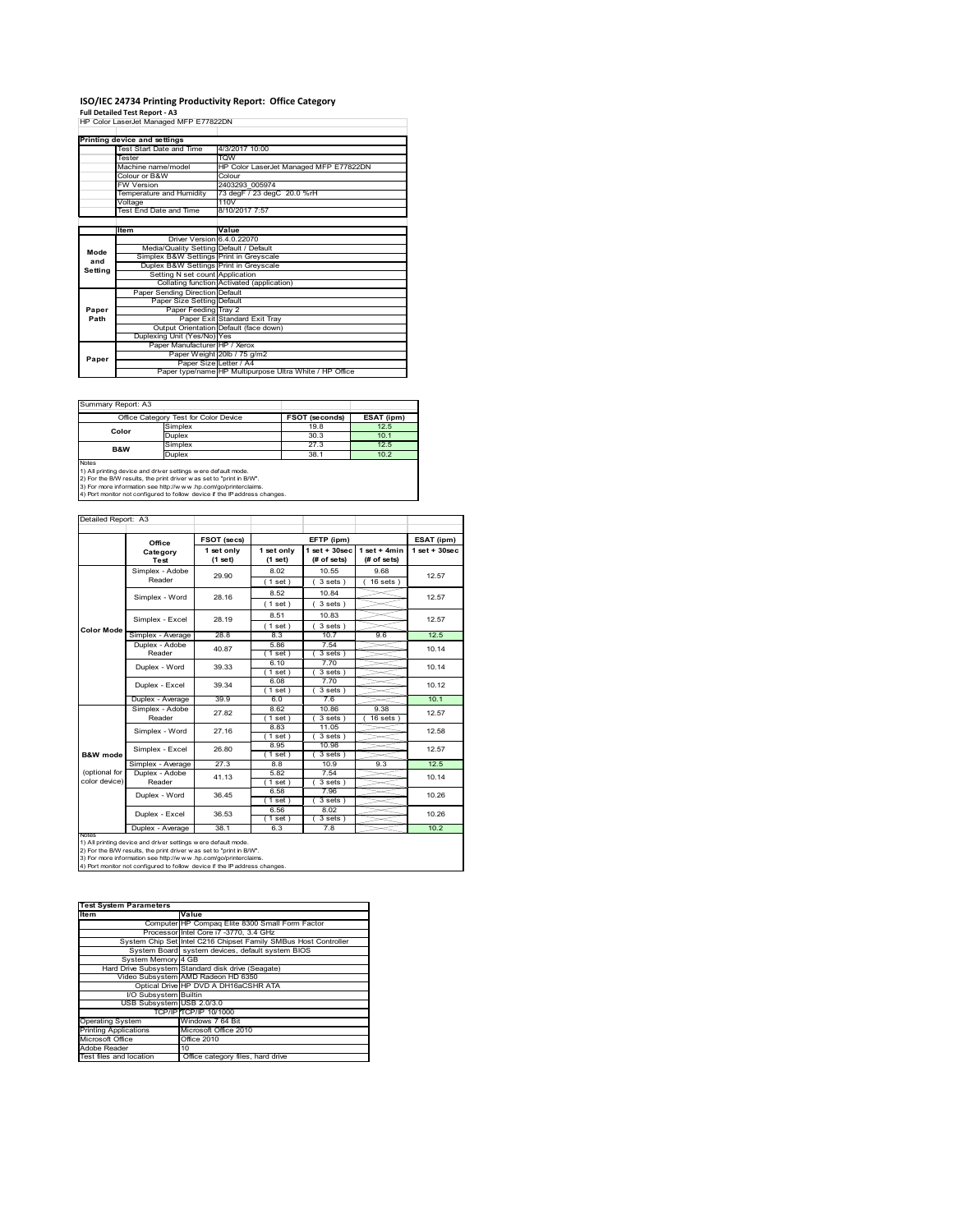# **ISO/IEC 24734 Printing Productivity Report: Office Category Full Detailed Test Report ‐ A3** HP Color LaserJet Managed MFP E77822DN

|         | HP Color LaserJet Mahaded MFP E77822DN  |                                                         |  |  |  |
|---------|-----------------------------------------|---------------------------------------------------------|--|--|--|
|         |                                         |                                                         |  |  |  |
|         | Printing device and settings            |                                                         |  |  |  |
|         | Test Start Date and Time                | 4/3/2017 10:00                                          |  |  |  |
|         | Tester                                  | <b>TOW</b>                                              |  |  |  |
|         | Machine name/model                      | HP Color LaserJet Managed MFP E77822DN                  |  |  |  |
|         | Colour or B&W                           | Colour                                                  |  |  |  |
|         | <b>FW Version</b>                       | 2403293 005974                                          |  |  |  |
|         | Temperature and Humidity                | 73 degF / 23 degC 20.0 %rH                              |  |  |  |
|         | Voltage                                 | 110V                                                    |  |  |  |
|         | Test End Date and Time                  | 8/10/2017 7:57                                          |  |  |  |
|         |                                         |                                                         |  |  |  |
|         | <b>Item</b>                             | Value                                                   |  |  |  |
|         | Driver Version 6.4.0.22070              |                                                         |  |  |  |
| Mode    | Media/Quality Setting Default / Default |                                                         |  |  |  |
| and     | Simplex B&W Settings Print in Greyscale |                                                         |  |  |  |
| Setting | Duplex B&W Settings Print in Greyscale  |                                                         |  |  |  |
|         | Setting N set count Application         |                                                         |  |  |  |
|         |                                         | Collating function Activated (application)              |  |  |  |
|         | Paper Sending Direction Default         |                                                         |  |  |  |
|         | Paper Size Setting Default              |                                                         |  |  |  |
| Paper   | Paper Feeding Tray 2                    |                                                         |  |  |  |
| Path    |                                         | Paper Exit Standard Exit Tray                           |  |  |  |
|         |                                         | Output Orientation Default (face down)                  |  |  |  |
|         | Duplexing Unit (Yes/No) Yes             |                                                         |  |  |  |
|         | Paper Manufacturer HP / Xerox           |                                                         |  |  |  |
| Paper   |                                         | Paper Weight 20lb / 75 g/m2                             |  |  |  |
|         | Paper Size Letter / A4                  |                                                         |  |  |  |
|         |                                         | Paper type/name HP Multipurpose Ultra White / HP Office |  |  |  |

Summary Report: A3

|                                                                     | Office Category Test for Color Device                                      | <b>FSOT (seconds)</b> | ESAT (ipm) |  |  |  |
|---------------------------------------------------------------------|----------------------------------------------------------------------------|-----------------------|------------|--|--|--|
| Color                                                               | Simplex                                                                    | 19.8                  | 12.5       |  |  |  |
|                                                                     | Duplex                                                                     | 30.3                  | 10.1       |  |  |  |
| <b>B&amp;W</b>                                                      | Simplex                                                                    | 27.3                  | 12.5       |  |  |  |
|                                                                     | <b>Duplex</b>                                                              | 38.1                  | 10.2       |  |  |  |
| Notes                                                               |                                                                            |                       |            |  |  |  |
| 1) All printing device and driver settings w ere default mode.      |                                                                            |                       |            |  |  |  |
| 2) For the B/W results, the print driver was set to "print in B/W". |                                                                            |                       |            |  |  |  |
| 3) For more information see http://www.hp.com/go/printerclaims.     |                                                                            |                       |            |  |  |  |
|                                                                     | 4) Port monitor not configured to follow device if the IP address changes. |                       |            |  |  |  |

|                     | Office            | FSOT (secs)           | EFTP (ipm)            |                                   |                               | ESAT (ipm)         |  |
|---------------------|-------------------|-----------------------|-----------------------|-----------------------------------|-------------------------------|--------------------|--|
|                     | Category<br>Test  | 1 set only<br>(1 set) | 1 set only<br>(1 set) | $1$ set + $30$ sec<br>(# of sets) | $1$ set + 4min<br>(# of sets) | $1$ set + $30$ sec |  |
|                     | Simplex - Adobe   | 29.90                 | 8.02                  | 10.55                             | 9.68                          | 12.57              |  |
|                     | Reader            |                       | (1 set)               | $3 sets$ )                        | $16$ sets $)$                 |                    |  |
|                     | Simplex - Word    | 28.16                 | 8.52                  | 10.84                             |                               | 12.57              |  |
|                     |                   |                       | $1$ set)              | 3 sets)                           |                               |                    |  |
|                     | Simplex - Excel   | 28.19                 | 8.51                  | 10.83                             |                               | 12.57              |  |
| Color Mode          |                   |                       | (1 set)               | 3 sets)                           |                               |                    |  |
|                     | Simplex - Average | 28.8                  | 8.3                   | 10.7                              | 9.6                           | 12.5               |  |
|                     | Duplex - Adobe    | 40.87                 | 5.86                  | 7.54                              |                               | 10.14              |  |
|                     | Reader            |                       | $1$ set)              | $3 sets$ )                        |                               |                    |  |
|                     | Duplex - Word     | 39.33                 | 6.10<br>$1$ set)      | 7.70<br>3 sets)                   |                               | 10.14              |  |
|                     |                   |                       | 6.08                  | 7.70                              |                               |                    |  |
|                     | Duplex - Excel    | 39.34                 | $1$ set               | 3 sets                            |                               | 10.12              |  |
|                     | Duplex - Average  | 39.9                  | 6.0                   | 76                                |                               | 10.1               |  |
|                     | Simplex - Adobe   | 27.82                 | 8.62                  | 10.86                             | 9.38                          | 12.57              |  |
|                     | Reader            |                       | $1$ set)              | 3 sets                            | $16$ sets $)$                 |                    |  |
|                     | Simplex - Word    | 27.16                 | 8.83                  | 11.05                             |                               | 12.58              |  |
|                     |                   |                       | $1$ set)              | $3 sets$ )                        |                               |                    |  |
| <b>B&amp;W</b> mode | Simplex - Excel   | 26.80                 | 8.95<br>$1$ set)      | 10.98<br>$3 sets$ )               |                               | 12.57              |  |
|                     | Simplex - Average | 27.3                  | 88                    | 10.9                              | $9.\overline{3}$              | 12.5               |  |
| (optional for       | Duplex - Adobe    |                       | 5.82                  | 7.54                              |                               |                    |  |
| color device)       | Reader            | 41.13                 | $1$ set $)$           | $3 sets$ )                        |                               | 10.14              |  |
|                     | Duplex - Word     | 36.45                 | 6.58                  | 7.96                              |                               | 10.26              |  |
|                     |                   |                       | $1$ set)              | $3 sets$ )                        |                               |                    |  |
|                     | Duplex - Excel    | 36.53                 | 6.56                  | 8.02                              |                               | 10.26              |  |
|                     |                   |                       | $1$ set)              | 3 sets)                           |                               |                    |  |
| <b>INOTES</b>       | Duplex - Average  | 38.1                  | 6.3                   | 7.8                               |                               | 10.2               |  |

| <b>Test System Parameters</b> |                                                                 |  |  |  |
|-------------------------------|-----------------------------------------------------------------|--|--|--|
| <b>Item</b>                   | Value                                                           |  |  |  |
|                               | Computer HP Compaq Elite 8300 Small Form Factor                 |  |  |  |
|                               | Processor Intel Core i7 -3770, 3.4 GHz                          |  |  |  |
|                               | System Chip Set Intel C216 Chipset Family SMBus Host Controller |  |  |  |
|                               | System Board system devices, default system BIOS                |  |  |  |
| System Memory 4 GB            |                                                                 |  |  |  |
|                               | Hard Drive Subsystem Standard disk drive (Seagate)              |  |  |  |
|                               | Video Subsystem AMD Radeon HD 6350                              |  |  |  |
|                               | Optical Drive HP DVD A DH16aCSHR ATA                            |  |  |  |
| I/O Subsystem Builtin         |                                                                 |  |  |  |
| USB Subsystem USB 2.0/3.0     |                                                                 |  |  |  |
|                               | TCP/IPITCP/IP 10/1000                                           |  |  |  |
| <b>Operating System</b>       | Windows 7 64 Bit                                                |  |  |  |
| <b>Printing Applications</b>  | Microsoft Office 2010                                           |  |  |  |
| Microsoft Office              | Office 2010                                                     |  |  |  |
| Adobe Reader                  | 10                                                              |  |  |  |
| Test files and location       | Office category files, hard drive                               |  |  |  |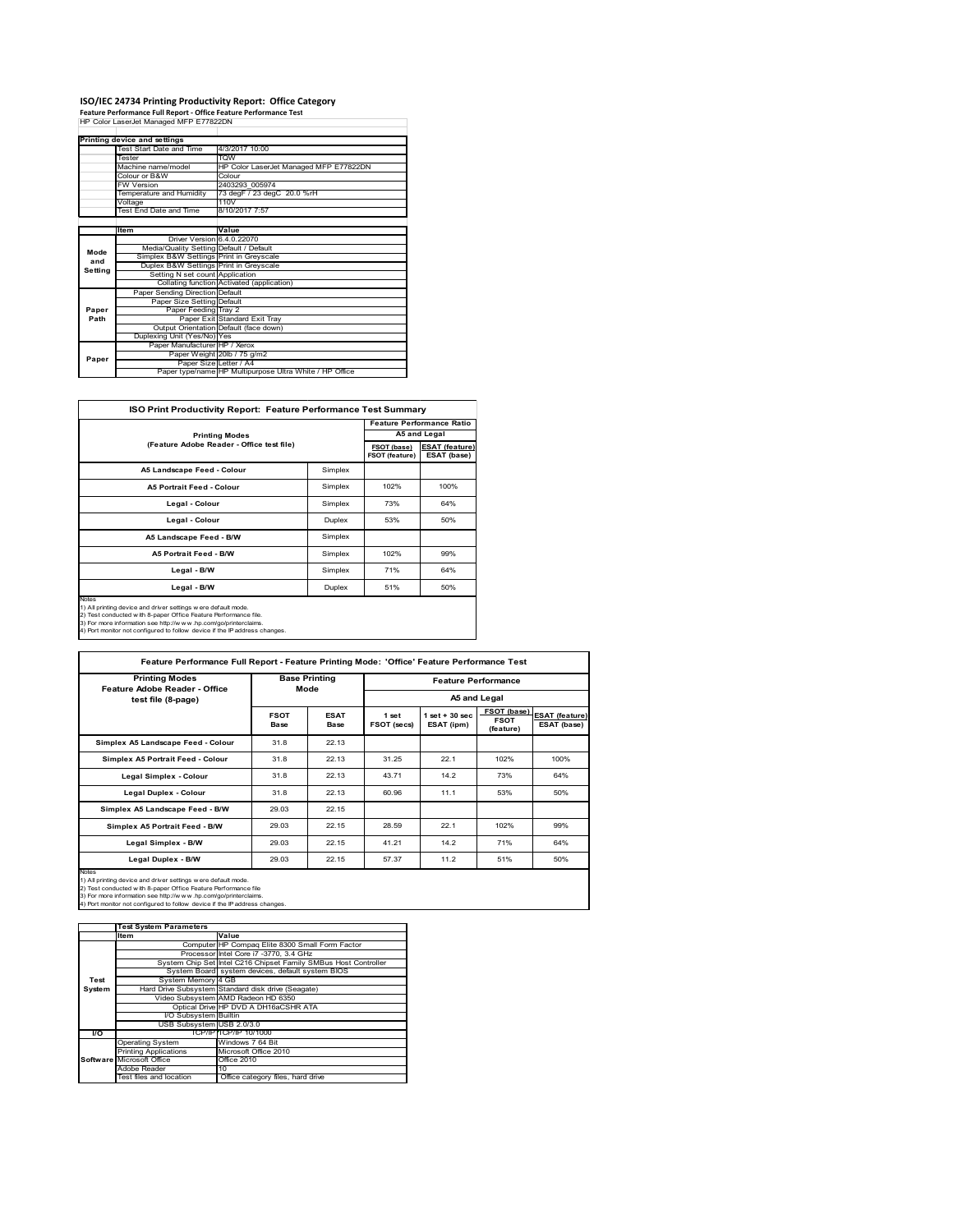# **ISO/IEC 24734 Printing Productivity Report: Office Category Feature Performance Full Report ‐ Office Feature Performance Test** HP Color LaserJet Managed MFP E77822DN

|         | III OOK LEGGUOG IVIEIRAGO IVII I LIIUZZDIV |                                                         |  |
|---------|--------------------------------------------|---------------------------------------------------------|--|
|         | Printing device and settings               |                                                         |  |
|         | Test Start Date and Time                   | 4/3/2017 10:00                                          |  |
|         | Tester                                     | <b>TOW</b>                                              |  |
|         | Machine name/model                         | HP Color LaserJet Managed MFP E77822DN                  |  |
|         | Colour or B&W                              | Colour                                                  |  |
|         | <b>FW Version</b>                          | 2403293 005974                                          |  |
|         | Temperature and Humidity                   | 73 degF / 23 degC 20.0 %rH                              |  |
|         | Voltage                                    | 110V                                                    |  |
|         | Test End Date and Time                     | 8/10/2017 7:57                                          |  |
|         |                                            |                                                         |  |
|         | Item                                       | Value                                                   |  |
|         | Driver Version 6.4.0.22070                 |                                                         |  |
| Mode    | Media/Quality Setting Default / Default    |                                                         |  |
| and     | Simplex B&W Settings Print in Greyscale    |                                                         |  |
| Setting | Duplex B&W Settings Print in Greyscale     |                                                         |  |
|         | Setting N set count Application            |                                                         |  |
|         |                                            | Collating function Activated (application)              |  |
|         | Paper Sending Direction Default            |                                                         |  |
|         | Paper Size Setting Default                 |                                                         |  |
| Paper   | Paper Feeding Tray 2                       |                                                         |  |
| Path    |                                            | Paper Exit Standard Exit Tray                           |  |
|         |                                            | Output Orientation Default (face down)                  |  |
|         | Duplexing Unit (Yes/No) Yes                |                                                         |  |
|         | Paper Manufacturer HP / Xerox              |                                                         |  |
| Paper   |                                            | Paper Weight 20lb / 75 g/m2                             |  |
|         | Paper Size Letter / A4                     |                                                         |  |
|         |                                            | Paper type/name HP Multipurpose Ultra White / HP Office |  |

|                                                                                                                                                                                                                                                                                            |         |      | <b>Feature Performance Ratio</b> |  |  |
|--------------------------------------------------------------------------------------------------------------------------------------------------------------------------------------------------------------------------------------------------------------------------------------------|---------|------|----------------------------------|--|--|
| <b>Printing Modes</b>                                                                                                                                                                                                                                                                      |         |      | A5 and Legal                     |  |  |
| (Feature Adobe Reader - Office test file)                                                                                                                                                                                                                                                  |         |      |                                  |  |  |
| A5 Landscape Feed - Colour                                                                                                                                                                                                                                                                 | Simplex |      |                                  |  |  |
| <b>A5 Portrait Feed - Colour</b>                                                                                                                                                                                                                                                           | Simplex | 102% | 100%                             |  |  |
| Legal - Colour                                                                                                                                                                                                                                                                             | Simplex | 73%  | 64%                              |  |  |
| Legal - Colour                                                                                                                                                                                                                                                                             | Duplex  | 53%  | 50%                              |  |  |
| A5 Landscape Feed - B/W                                                                                                                                                                                                                                                                    | Simplex |      |                                  |  |  |
| <b>A5 Portrait Feed - B/W</b>                                                                                                                                                                                                                                                              | Simplex | 102% | 99%                              |  |  |
| Legal - B/W                                                                                                                                                                                                                                                                                | Simplex | 71%  | 64%                              |  |  |
| Legal - B/W                                                                                                                                                                                                                                                                                | Duplex  | 51%  | 50%                              |  |  |
| Notes<br>1) All printing device and driver settings were default mode.<br>2) Test conducted with 8-paper Office Feature Performance file.<br>3) For more information see http://www.hp.com/go/printerclaims.<br>4) Port monitor not configured to follow device if the IP address changes. |         |      |                                  |  |  |

| <b>Printing Modes</b><br>Feature Adobe Reader - Office                                                                                                                                                                                                                                            | <b>Base Printing</b><br>Mode |                     | <b>Feature Performance</b><br>A5 and Legal |                                 |                                         |                                      |  |
|---------------------------------------------------------------------------------------------------------------------------------------------------------------------------------------------------------------------------------------------------------------------------------------------------|------------------------------|---------------------|--------------------------------------------|---------------------------------|-----------------------------------------|--------------------------------------|--|
| test file (8-page)                                                                                                                                                                                                                                                                                |                              |                     |                                            |                                 |                                         |                                      |  |
|                                                                                                                                                                                                                                                                                                   | <b>FSOT</b><br>Base          | <b>ESAT</b><br>Base | 1 set<br>FSOT (secs)                       | $1$ set $+30$ sec<br>ESAT (ipm) | FSOT (base)<br><b>FSOT</b><br>(feature) | <b>ESAT (feature)</b><br>ESAT (base) |  |
| Simplex A5 Landscape Feed - Colour                                                                                                                                                                                                                                                                | 31.8                         | 22.13               |                                            |                                 |                                         |                                      |  |
| Simplex A5 Portrait Feed - Colour                                                                                                                                                                                                                                                                 | 31.8                         | 22.13               | 31.25                                      | 22.1                            | 102%                                    | 100%                                 |  |
| Legal Simplex - Colour                                                                                                                                                                                                                                                                            | 31.8                         | 22.13               | 43.71                                      | 14.2                            | 73%                                     | 64%                                  |  |
| <b>Legal Duplex - Colour</b>                                                                                                                                                                                                                                                                      | 31.8                         | 22.13               | 60.96                                      | 11.1                            | 53%                                     | 50%                                  |  |
| Simplex A5 Landscape Feed - B/W                                                                                                                                                                                                                                                                   | 29.03                        | 22.15               |                                            |                                 |                                         |                                      |  |
| Simplex A5 Portrait Feed - B/W                                                                                                                                                                                                                                                                    | 29.03                        | 22.15               | 28.59                                      | 22.1                            | 102%                                    | 99%                                  |  |
| Legal Simplex - B/W                                                                                                                                                                                                                                                                               | 29.03                        | 22.15               | 41.21                                      | 14.2                            | 71%                                     | 64%                                  |  |
| Legal Duplex - B/W                                                                                                                                                                                                                                                                                | 29.03                        | 22.15               | 57.37                                      | 11.2                            | 51%                                     | 50%                                  |  |
| <b>Notes</b><br>1) All printing device and driver settings w ere default mode.<br>2) Test conducted with 8-paper Office Feature Performance file<br>3) For more information see http://www.hp.com/go/printerclaims.<br>4) Port monitor not configured to follow device if the IP address changes. |                              |                     |                                            |                                 |                                         |                                      |  |

|        | <b>Test System Parameters</b> |                                                                 |  |
|--------|-------------------------------|-----------------------------------------------------------------|--|
|        | Item                          | Value                                                           |  |
|        |                               | Computer HP Compaq Elite 8300 Small Form Factor                 |  |
|        |                               | Processor Intel Core i7 -3770, 3.4 GHz                          |  |
|        |                               | System Chip Set Intel C216 Chipset Family SMBus Host Controller |  |
|        |                               | System Board system devices, default system BIOS                |  |
| Test   | System Memory 4 GB            |                                                                 |  |
| System |                               | Hard Drive Subsystem Standard disk drive (Seagate)              |  |
|        |                               | Video Subsystem AMD Radeon HD 6350                              |  |
|        |                               | Optical Drive HP DVD A DH16aCSHR ATA                            |  |
|        | I/O Subsystem Builtin         |                                                                 |  |
|        | USB Subsystem USB 2.0/3.0     |                                                                 |  |
| I/O    |                               | TCP/IPITCP/IP 10/1000                                           |  |
|        | <b>Operating System</b>       | Windows 7 64 Bit                                                |  |
|        | <b>Printing Applications</b>  | Microsoft Office 2010                                           |  |
|        | Software Microsoft Office     | Office 2010                                                     |  |
|        | Adobe Reader                  | 10                                                              |  |
|        | Test files and location       | Office category files, hard drive                               |  |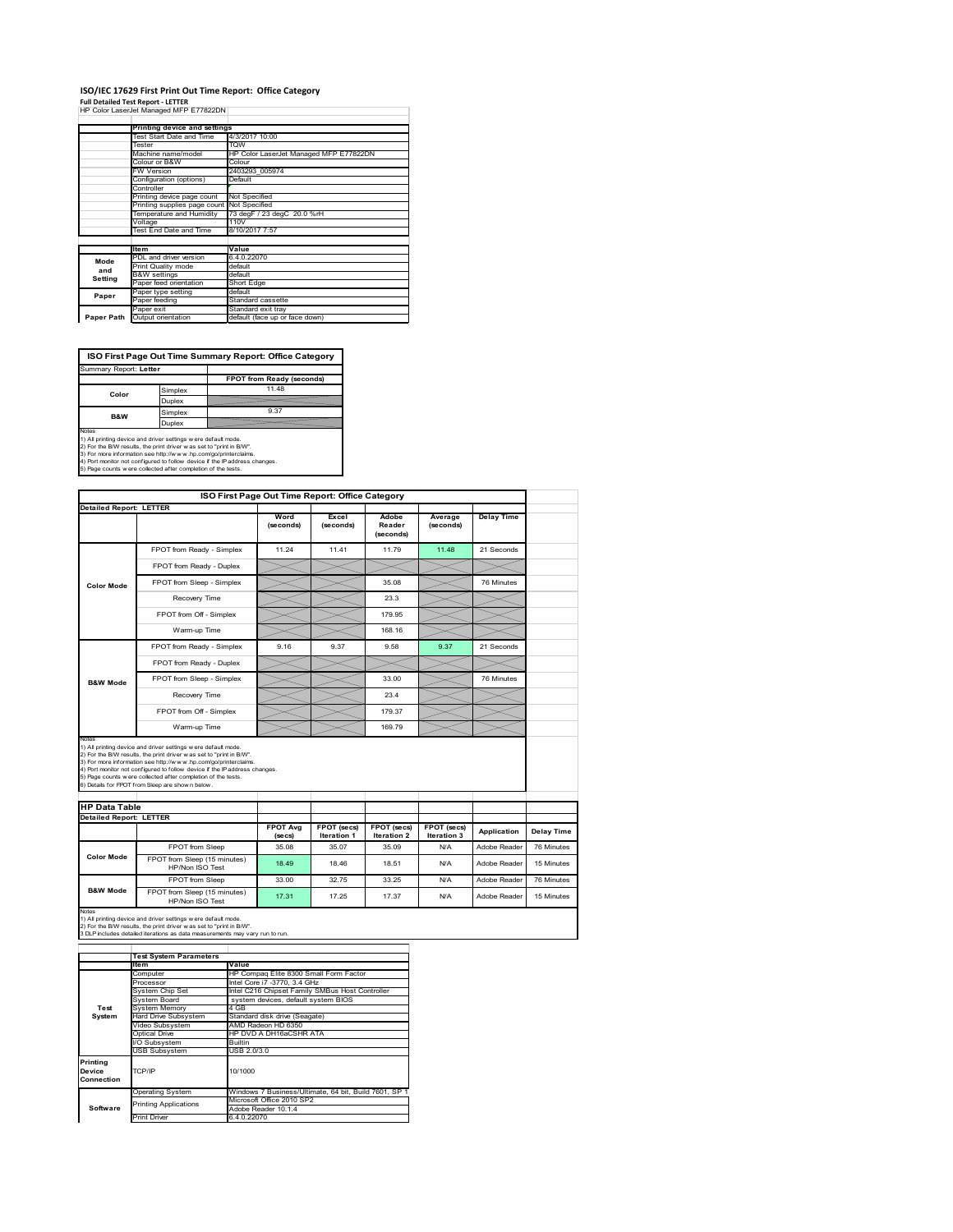#### **ISO/IEC 17629 First Print Out Time Report: Office Category Full Detailed Test Report ‐ LETTER** HP Color LaserJet Managed MFP E77822DN

|            | Printing device and settings               |                                        |  |  |  |
|------------|--------------------------------------------|----------------------------------------|--|--|--|
|            | Test Start Date and Time                   | 4/3/2017 10:00                         |  |  |  |
|            | Tester                                     | <b>TOW</b>                             |  |  |  |
|            | Machine name/model                         | HP Color LaserJet Managed MFP E77822DN |  |  |  |
|            | Colour or B&W                              | Colour                                 |  |  |  |
|            | FW Version                                 | 2403293 005974                         |  |  |  |
|            | Configuration (options)                    | Default                                |  |  |  |
|            | Controller                                 |                                        |  |  |  |
|            | Printing device page count                 | Not Specified                          |  |  |  |
|            | Printing supplies page count Not Specified |                                        |  |  |  |
|            | Temperature and Humidity                   | 73 degF / 23 degC 20.0 %rH             |  |  |  |
|            | Voltage                                    | 110V                                   |  |  |  |
|            | <b>Test End Date and Time</b>              | 8/10/2017 7:57                         |  |  |  |
|            |                                            |                                        |  |  |  |
|            | <b>Item</b>                                | Value                                  |  |  |  |
| Mode       | PDL and driver version                     | 6.4.0.22070                            |  |  |  |
| and        | Print Quality mode                         | default                                |  |  |  |
| Setting    | <b>B&amp;W</b> settings                    | default                                |  |  |  |
|            | Paper feed orientation                     | <b>Short Edge</b>                      |  |  |  |
| Paper      | Paper type setting                         | default                                |  |  |  |
|            | Paper feeding                              | Standard cassette                      |  |  |  |
|            | Paper exit                                 | Standard exit tray                     |  |  |  |
| Paper Path | Output orientation                         | default (face up or face down)         |  |  |  |

**ISO First Page Out Time Summary Report: Office Category**

| Summary Report: Letter |         |                           |
|------------------------|---------|---------------------------|
|                        |         | FPOT from Ready (seconds) |
| Color                  | Simplex | 11.48                     |
|                        | Duplex  |                           |
| <b>B&amp;W</b>         | Simplex | 9.37                      |
|                        | Duplex  |                           |

Notes<br>1) All printing device and driver settings were default mode.<br>2) For the BW results, the print driver was set to "print in BW".<br>3) For more information see http://www.hp.com/golprinterclaims.<br>4) Port montor not confi

|                                                        |                                                                                                                                                                                                                                                                                                                                                                                                             | ISO First Page Out Time Report: Office Category |                            |                              |                            |              |
|--------------------------------------------------------|-------------------------------------------------------------------------------------------------------------------------------------------------------------------------------------------------------------------------------------------------------------------------------------------------------------------------------------------------------------------------------------------------------------|-------------------------------------------------|----------------------------|------------------------------|----------------------------|--------------|
| <b>Detailed Report: LETTER</b>                         |                                                                                                                                                                                                                                                                                                                                                                                                             |                                                 |                            |                              |                            |              |
|                                                        |                                                                                                                                                                                                                                                                                                                                                                                                             | Word<br>(seconds)                               | Excel<br>(seconds)         | Adobe<br>Reader<br>(seconds) | Average<br>(seconds)       | Delay Time   |
|                                                        | FPOT from Ready - Simplex                                                                                                                                                                                                                                                                                                                                                                                   | 11 24                                           | 11 41                      | 11 79                        | 11 48                      | 21 Seconds   |
|                                                        | FPOT from Ready - Duplex                                                                                                                                                                                                                                                                                                                                                                                    |                                                 |                            |                              |                            |              |
| Color Mode                                             | FPOT from Sleep - Simplex                                                                                                                                                                                                                                                                                                                                                                                   |                                                 |                            | 35.08                        |                            | 76 Minutes   |
|                                                        | Recovery Time                                                                                                                                                                                                                                                                                                                                                                                               |                                                 |                            | 23.3                         |                            |              |
|                                                        | FPOT from Off - Simplex                                                                                                                                                                                                                                                                                                                                                                                     |                                                 |                            | 179.95                       |                            |              |
|                                                        | Warm-up Time                                                                                                                                                                                                                                                                                                                                                                                                |                                                 |                            | 168.16                       |                            |              |
|                                                        | FPOT from Ready - Simplex                                                                                                                                                                                                                                                                                                                                                                                   | 9.16                                            | 9.37                       | 9.58                         | 9.37                       | 21 Seconds   |
|                                                        | FPOT from Ready - Duplex                                                                                                                                                                                                                                                                                                                                                                                    |                                                 |                            |                              |                            |              |
| <b>B&amp;W Mode</b>                                    | FPOT from Sleep - Simplex                                                                                                                                                                                                                                                                                                                                                                                   |                                                 |                            | 33.00                        |                            | 76 Minutes   |
|                                                        | Recovery Time                                                                                                                                                                                                                                                                                                                                                                                               |                                                 |                            | 23.4                         |                            |              |
|                                                        |                                                                                                                                                                                                                                                                                                                                                                                                             |                                                 |                            |                              |                            |              |
|                                                        | FPOT from Off - Simplex                                                                                                                                                                                                                                                                                                                                                                                     |                                                 |                            | 179.37                       |                            |              |
|                                                        | Warm-up Time                                                                                                                                                                                                                                                                                                                                                                                                |                                                 |                            | 169.79                       |                            |              |
| Notes                                                  | 1) All printing device and driver settings w ere default mode.<br>2) For the B/W results, the print driver was set to "print in B/W".<br>3) For more information see http://www.hp.com/go/printerclaims.<br>4) Port monitor not configured to follow device if the IP address changes.<br>5) Page counts w ere collected after completion of the tests.<br>6) Details for FPOT from Sleep are show n below. |                                                 |                            |                              |                            |              |
|                                                        |                                                                                                                                                                                                                                                                                                                                                                                                             |                                                 |                            |                              |                            |              |
| <b>HP Data Table</b><br><b>Detailed Report: LETTER</b> |                                                                                                                                                                                                                                                                                                                                                                                                             | <b>FPOT Avg</b><br>(se cs)                      | FPOT (secs)<br>Iteration 1 | FPOT (secs)<br>Iteration 2   | FPOT (secs)<br>Iteration 3 | Application  |
|                                                        | <b>FPOT from Sleep</b>                                                                                                                                                                                                                                                                                                                                                                                      | 35.08                                           | 35.07                      | 35.09                        | N/A                        | Adobe Reader |
| <b>Color Mode</b>                                      | FPOT from Sleep (15 minutes)<br>HP/Non ISO Test                                                                                                                                                                                                                                                                                                                                                             | 18.49                                           | 18.46                      | 18.51                        | N/A                        | Adobe Reader |
| <b>B&amp;W Mode</b>                                    | FPOT from Sleep                                                                                                                                                                                                                                                                                                                                                                                             | 33.00                                           | 32.75                      | 33.25                        | N/A                        | Adobe Reader |

1) All printing device and driver settings w ere default mode.<br>2) For the B/W results, the print driver w as set to "print in B/W".<br>3 DLP includes detailed iterations as data measurements may vary run to run.

|            | <b>Test System Parameters</b> |                                                       |  |  |  |  |
|------------|-------------------------------|-------------------------------------------------------|--|--|--|--|
|            | <b>Item</b>                   | Value                                                 |  |  |  |  |
|            | Computer                      | HP Compag Elite 8300 Small Form Factor                |  |  |  |  |
|            | Processor                     | Intel Core i7 -3770, 3.4 GHz                          |  |  |  |  |
|            | System Chip Set               | Intel C216 Chipset Family SMBus Host Controller       |  |  |  |  |
|            | System Board                  | system devices, default system BIOS                   |  |  |  |  |
| Test       | <b>System Memory</b>          | 4 GB                                                  |  |  |  |  |
| System     | Hard Drive Subsystem          | Standard disk drive (Seagate)                         |  |  |  |  |
|            | Video Subsystem               | AMD Radeon HD 6350                                    |  |  |  |  |
|            | Optical Drive                 | HP DVD A DH16aCSHR ATA                                |  |  |  |  |
|            | I/O Subsystem                 | <b>Builtin</b>                                        |  |  |  |  |
|            | <b>USB Subsystem</b>          | USB 2.0/3.0                                           |  |  |  |  |
| Printing   |                               |                                                       |  |  |  |  |
| Device     | TCP/IP                        | 10/1000                                               |  |  |  |  |
| Connection |                               |                                                       |  |  |  |  |
|            | <b>Operating System</b>       | Windows 7 Business/Ultimate, 64 bit, Build 7601, SP 1 |  |  |  |  |
|            | <b>Printing Applications</b>  | Microsoft Office 2010 SP2                             |  |  |  |  |
| Software   |                               | Adobe Reader 10.1.4                                   |  |  |  |  |
|            | <b>Print Driver</b>           | 6.4.0.22070                                           |  |  |  |  |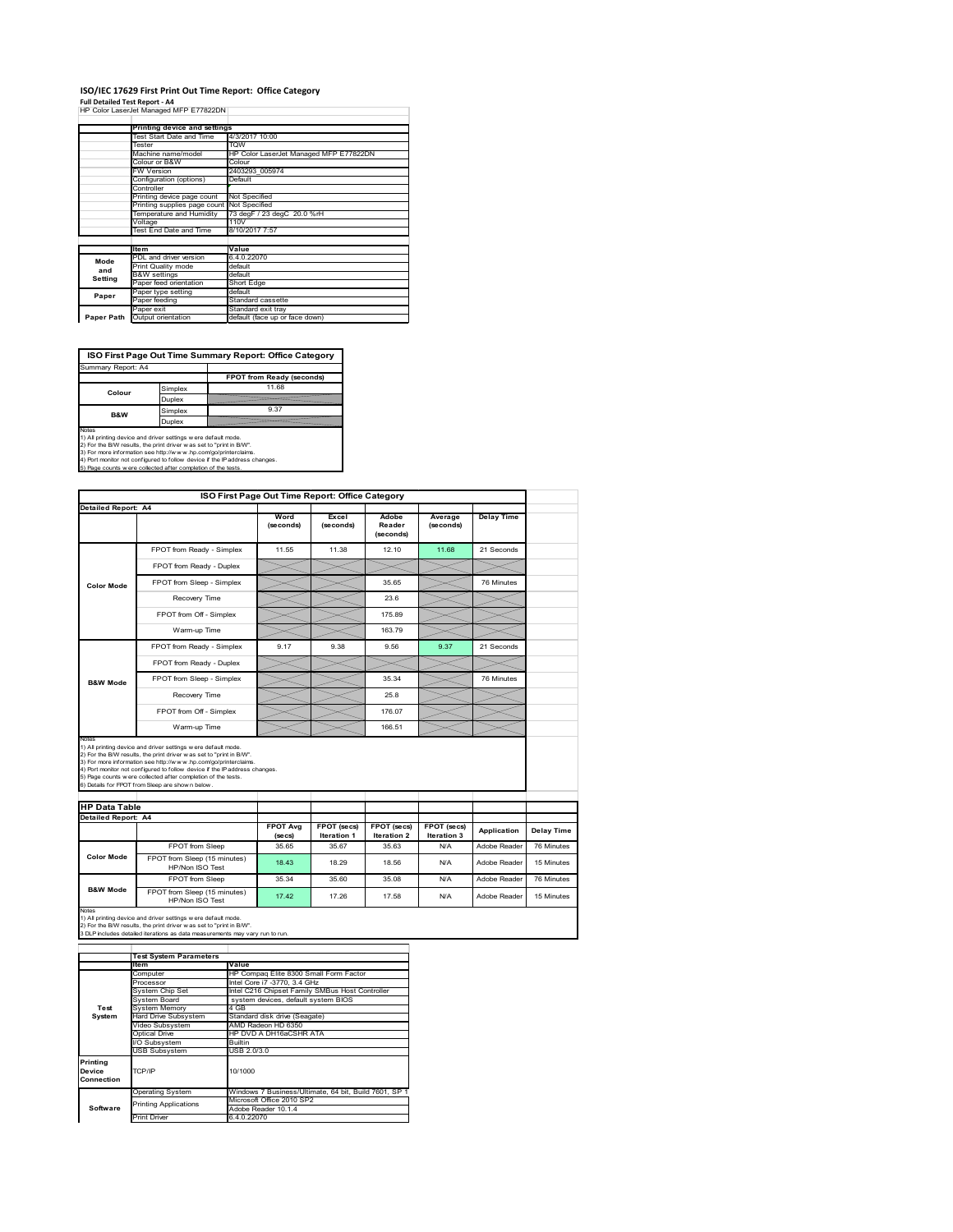# **ISO/IEC 17629 First Print Out Time Report: Office Category**

**Full Detailed Test Report ‐ A4** HP Color LaserJet Managed MFP E77822DN

|            | Printing device and settings               |                                        |
|------------|--------------------------------------------|----------------------------------------|
|            | Test Start Date and Time                   | 4/3/2017 10:00                         |
|            | Tester                                     | <b>TOW</b>                             |
|            | Machine name/model                         | HP Color LaserJet Managed MFP E77822DN |
|            | Colour or B&W                              | Colour                                 |
|            | FW Version                                 | 2403293 005974                         |
|            | Configuration (options)                    | Default                                |
|            | Controller                                 |                                        |
|            | Printing device page count                 | Not Specified                          |
|            | Printing supplies page count Not Specified |                                        |
|            | Temperature and Humidity                   | 73 degF / 23 degC 20.0 %rH             |
|            | Voltage                                    | 110V                                   |
|            | Test End Date and Time                     | 8/10/2017 7:57                         |
|            |                                            |                                        |
|            | <b>Item</b>                                | Value                                  |
| Mode       | PDL and driver version                     | 6.4.0.22070                            |
| and        | Print Quality mode                         | default                                |
| Setting    | <b>B&amp;W</b> settings                    | default                                |
|            | Paper feed orientation                     | Short Edge                             |
| Paper      | Paper type setting                         | default                                |
|            | Paper feeding                              | Standard cassette                      |
|            | Paper exit                                 | Standard exit tray                     |
| Paper Path | Output orientation                         | default (face up or face down)         |

**ISO First Page Out Time Summary Report: Office Category**

| Summary Report: A4        |         |                           |
|---------------------------|---------|---------------------------|
|                           |         | FPOT from Ready (seconds) |
| Colour                    | Simplex | 11.68                     |
|                           | Duplex  |                           |
| Simplex<br><b>B&amp;W</b> |         | 9.37                      |
|                           | Duplex  |                           |
| $\cdots$                  |         |                           |

Notes<br>1) All printing device and driver settings were default mode.<br>2) For the BAV results, the print driver was set to "print in BAV".<br>3) For more information see http://www.hp.com/golprinterclaims.<br>4) Port monitor not co

| Detailed Report: A4                                |                                                                                                                                                                                                                                                                                                                                                                                                              | Word<br>(seconds) | Excel<br>(seconds)          | Adobe<br>Reader<br>(seconds) | Average<br>(seconds) | <b>Delay Time</b> |                          |
|----------------------------------------------------|--------------------------------------------------------------------------------------------------------------------------------------------------------------------------------------------------------------------------------------------------------------------------------------------------------------------------------------------------------------------------------------------------------------|-------------------|-----------------------------|------------------------------|----------------------|-------------------|--------------------------|
|                                                    | FPOT from Ready - Simplex                                                                                                                                                                                                                                                                                                                                                                                    | 11.55             | 11.38                       | 12.10                        | 11.68                | 21 Seconds        |                          |
|                                                    | FPOT from Ready - Duplex                                                                                                                                                                                                                                                                                                                                                                                     |                   |                             |                              |                      |                   |                          |
| <b>Color Mode</b>                                  | FPOT from Sleep - Simplex                                                                                                                                                                                                                                                                                                                                                                                    |                   |                             | 35.65                        |                      | 76 Minutes        |                          |
|                                                    | Recovery Time                                                                                                                                                                                                                                                                                                                                                                                                |                   |                             | 23.6                         |                      |                   |                          |
|                                                    | FPOT from Off - Simplex                                                                                                                                                                                                                                                                                                                                                                                      |                   |                             | 175.89                       |                      |                   |                          |
|                                                    | Warm-up Time                                                                                                                                                                                                                                                                                                                                                                                                 |                   |                             | 163.79                       |                      |                   |                          |
|                                                    | FPOT from Ready - Simplex                                                                                                                                                                                                                                                                                                                                                                                    | 9.17              | 9.38                        | 9.56                         | 9.37                 | 21 Seconds        |                          |
|                                                    | FPOT from Ready - Duplex                                                                                                                                                                                                                                                                                                                                                                                     |                   |                             |                              |                      |                   |                          |
| <b>B&amp;W Mode</b>                                | FPOT from Sleep - Simplex                                                                                                                                                                                                                                                                                                                                                                                    |                   |                             | 35.34                        |                      | 76 Minutes        |                          |
|                                                    | Recovery Time                                                                                                                                                                                                                                                                                                                                                                                                |                   |                             | 25.8                         |                      |                   |                          |
|                                                    |                                                                                                                                                                                                                                                                                                                                                                                                              |                   |                             |                              |                      |                   |                          |
|                                                    | FPOT from Off - Simplex                                                                                                                                                                                                                                                                                                                                                                                      |                   |                             | 176.07                       |                      |                   |                          |
| Notes                                              | Warm-up Time                                                                                                                                                                                                                                                                                                                                                                                                 |                   |                             | 166.51                       |                      |                   |                          |
| <b>HP Data Table</b><br><b>Detailed Report: A4</b> | 1) All printing device and driver settings w ere default mode.<br>2) For the B/W results, the print driver w as set to "print in B/W".<br>3) For more information see http://www.hp.com/go/printerclaims.<br>4) Port monitor not configured to follow device if the IP address changes.<br>5) Page counts w ere collected after completion of the tests.<br>6) Details for FPOT from Sleep are show n below. | <b>FPOT Avg</b>   | FPOT (secs)                 | FPOT (secs)                  | FPOT (secs)          | Application       |                          |
|                                                    | FPOT from Sleep                                                                                                                                                                                                                                                                                                                                                                                              | (se cs)<br>35.65  | <b>Iteration 1</b><br>35.67 | <b>Iteration 2</b><br>35.63  | Iteration 3<br>N/A   | Adobe Reader      | Delay Time<br>76 Minutes |
| <b>Color Mode</b>                                  | FPOT from Sleep (15 minutes)<br>HP/Non ISO Test                                                                                                                                                                                                                                                                                                                                                              | 18.43             | 18.29                       | 18.56                        | N/A                  | Adobe Reader      | 15 Minutes               |
|                                                    | FPOT from Sleep                                                                                                                                                                                                                                                                                                                                                                                              | 35.34             | 35.60                       | 35.08                        | N/A                  | Adobe Reader      | 76 Minutes               |

|            | <b>Test System Parameters</b> |                                                       |  |  |
|------------|-------------------------------|-------------------------------------------------------|--|--|
|            | <b>Item</b>                   | Value                                                 |  |  |
|            | Computer                      | HP Compag Elite 8300 Small Form Factor                |  |  |
|            | Processor                     | Intel Core i7 -3770, 3.4 GHz                          |  |  |
|            | System Chip Set               | Intel C216 Chipset Family SMBus Host Controller       |  |  |
|            | System Board                  | system devices, default system BIOS                   |  |  |
| Test       | <b>System Memory</b>          | 4 GB                                                  |  |  |
| System     | <b>Hard Drive Subsystem</b>   | Standard disk drive (Seagate)                         |  |  |
|            | Video Subsystem               | AMD Radeon HD 6350                                    |  |  |
|            | Optical Drive                 | HP DVD A DH16aCSHR ATA                                |  |  |
|            | I/O Subsystem                 | Builtin                                               |  |  |
|            | <b>USB Subsystem</b>          | USB 2.0/3.0                                           |  |  |
| Printing   |                               |                                                       |  |  |
| Device     | TCP/IP                        | 10/1000                                               |  |  |
| Connection |                               |                                                       |  |  |
|            | <b>Operating System</b>       | Windows 7 Business/Ultimate, 64 bit, Build 7601, SP 1 |  |  |
|            | <b>Printing Applications</b>  | Microsoft Office 2010 SP2                             |  |  |
| Software   |                               | Adobe Reader 10.1.4                                   |  |  |
|            | <b>Print Driver</b>           | 6.4.0.22070                                           |  |  |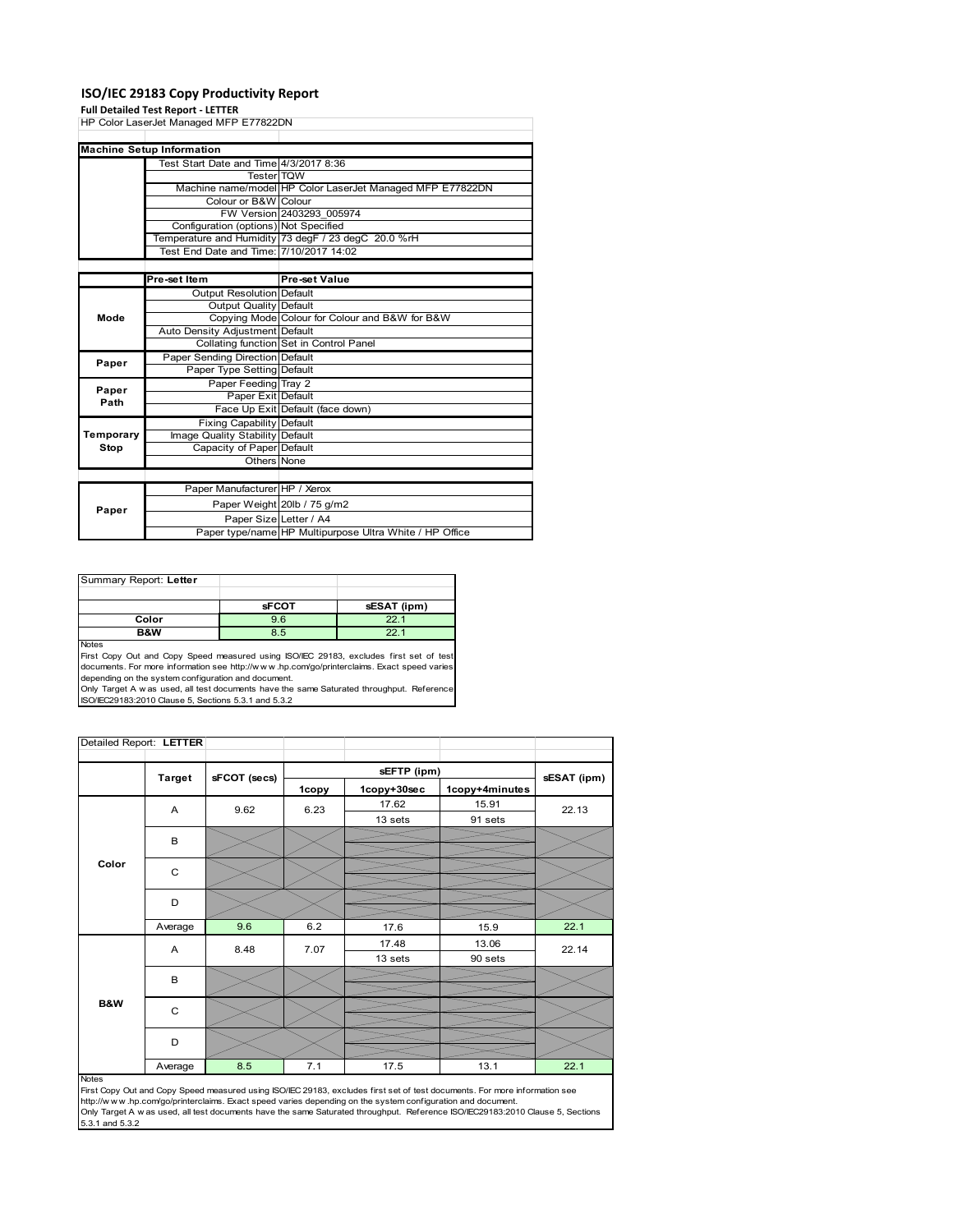#### **ISO/IEC 29183 Copy Productivity Report**

#### **Full Detailed Test Report ‐ LETTER**

|           | HP Color LaserJet Managed MFP E77822DN  |                                                           |  |  |
|-----------|-----------------------------------------|-----------------------------------------------------------|--|--|
|           |                                         |                                                           |  |  |
|           | <b>Machine Setup Information</b>        |                                                           |  |  |
|           | Test Start Date and Time 4/3/2017 8:36  |                                                           |  |  |
|           | Tester TQW                              |                                                           |  |  |
|           |                                         | Machine name/model HP Color LaserJet Managed MFP E77822DN |  |  |
|           | Colour or B&W Colour                    |                                                           |  |  |
|           |                                         | FW Version 2403293 005974                                 |  |  |
|           | Configuration (options) Not Specified   |                                                           |  |  |
|           |                                         | Temperature and Humidity 73 degF / 23 degC 20.0 %rH       |  |  |
|           | Test End Date and Time: 7/10/2017 14:02 |                                                           |  |  |
|           |                                         |                                                           |  |  |
|           | Pre-set Item                            | Pre-set Value                                             |  |  |
|           | <b>Output Resolution Default</b>        |                                                           |  |  |
|           | <b>Output Quality Default</b>           |                                                           |  |  |
| Mode      |                                         | Copying Mode Colour for Colour and B&W for B&W            |  |  |
|           | Auto Density Adjustment Default         |                                                           |  |  |
|           |                                         | Collating function Set in Control Panel                   |  |  |
| Paper     | Paper Sending Direction Default         |                                                           |  |  |
|           | Paper Type Setting Default              |                                                           |  |  |
| Paper     | Paper Feeding Tray 2                    |                                                           |  |  |
| Path      | Paper Exit Default                      |                                                           |  |  |
|           |                                         | Face Up Exit Default (face down)                          |  |  |
|           | <b>Fixing Capability Default</b>        |                                                           |  |  |
| Temporary | Image Quality Stability Default         |                                                           |  |  |
| Stop      | Capacity of Paper Default               |                                                           |  |  |
|           | Others None                             |                                                           |  |  |
|           |                                         |                                                           |  |  |
|           | Paper Manufacturer HP / Xerox           |                                                           |  |  |
|           |                                         | Paper Weight 20lb / 75 g/m2                               |  |  |
| Paper     | Paper Size Letter / A4                  |                                                           |  |  |
|           |                                         | Paper type/name HP Multipurpose Ultra White / HP Office   |  |  |

| Summary Report: Letter |              |             |
|------------------------|--------------|-------------|
|                        |              |             |
|                        | <b>sFCOT</b> | sESAT (ipm) |
| Color                  | 9.6          | 221         |
| B&W                    | 8.5          | 221         |
| <b>Notes</b>           |              |             |

First Copy Out and Copy Speed measured using ISO/IEC 29183, excludes first set of test documents. For more information see http://w w w .hp.com/go/printerclaims. Exact speed varies

depending on the system configuration and document.<br>Only Target A w as used, all test documents have the same Saturated throughput. Reference<br>ISO/IEC29183:2010 Clause 5, Sections 5.3.1 and 5.3.2

| Detailed Report: LETTER |               |              |       |             |                |             |
|-------------------------|---------------|--------------|-------|-------------|----------------|-------------|
|                         |               |              |       | sEFTP (ipm) |                |             |
|                         | <b>Target</b> | sFCOT (secs) | 1copy | 1copy+30sec | 1copy+4minutes | sESAT (ipm) |
|                         | A             | 9.62         | 6.23  | 17.62       | 15.91          | 22.13       |
|                         |               |              |       | 13 sets     | 91 sets        |             |
|                         | В             |              |       |             |                |             |
|                         |               |              |       |             |                |             |
| Color                   | C             |              |       |             |                |             |
|                         |               |              |       |             |                |             |
|                         | D             |              |       |             |                |             |
|                         | Average       | 9.6          | 6.2   | 17.6        | 15.9           | 22.1        |
|                         | A             | 8.48         | 7.07  | 17.48       | 13.06          | 22.14       |
|                         |               |              |       | 13 sets     | 90 sets        |             |
|                         | B             |              |       |             |                |             |
|                         |               |              |       |             |                |             |
| B&W                     | $\mathbf C$   |              |       |             |                |             |
|                         |               |              |       |             |                |             |
|                         | D             |              |       |             |                |             |
|                         | Average       | 8.5          | 7.1   | 17.5        | 13.1           | 22.1        |

#### Notes

First Copy Out and Copy Speed measured using ISO/IEC 29183, excludes first set of test documents. For more information see<br>http://w w w.hp.com/go/printerclaims. Exact speed varies depending on the system configuration and 5.3.1 and 5.3.2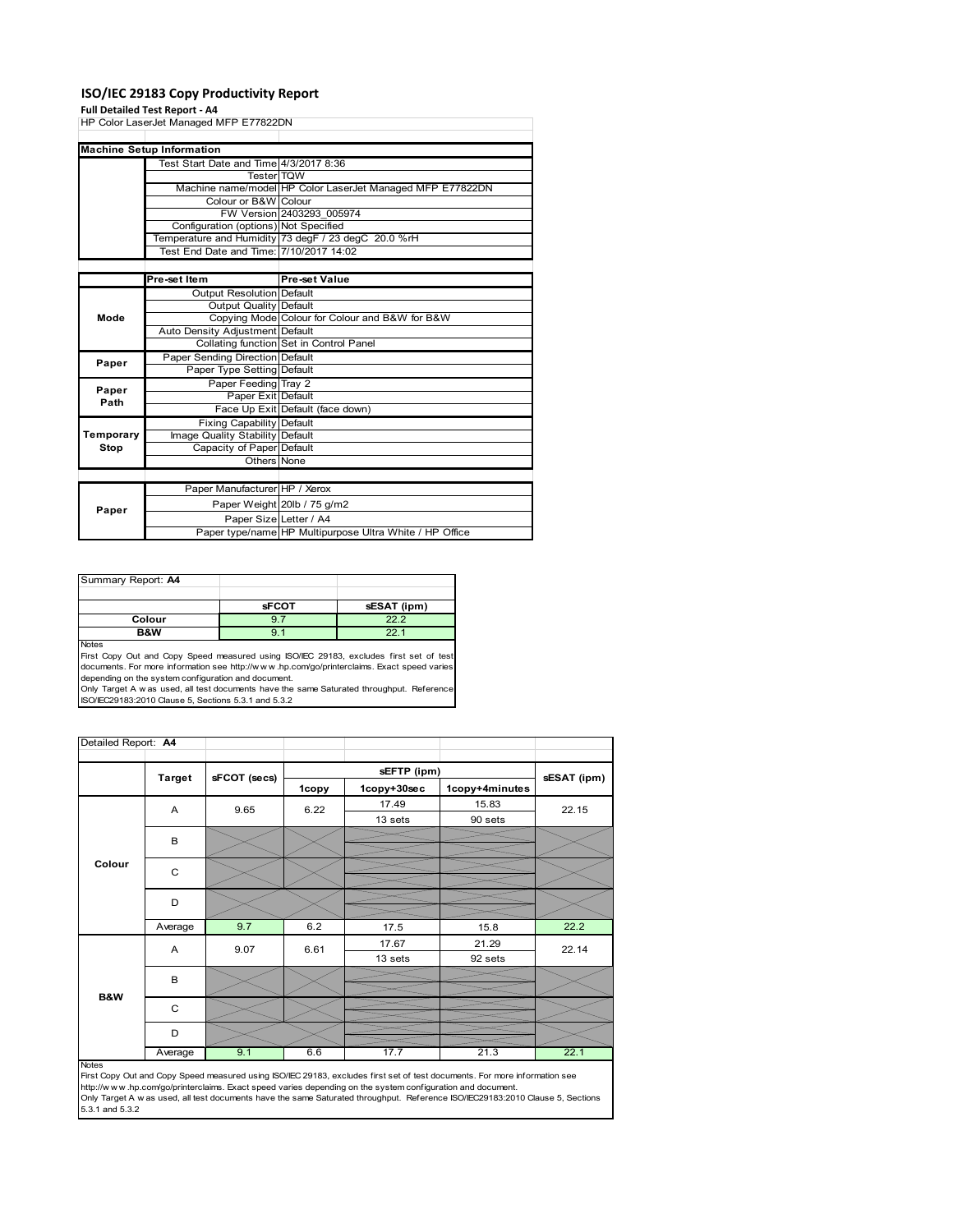#### **ISO/IEC 29183 Copy Productivity Report**

#### **Full Detailed Test Report ‐ A4**

| HP Color LaserJet Managed MFP E77822DN |                                         |                                                           |  |  |
|----------------------------------------|-----------------------------------------|-----------------------------------------------------------|--|--|
|                                        |                                         |                                                           |  |  |
|                                        | <b>Machine Setup Information</b>        |                                                           |  |  |
|                                        | Test Start Date and Time 4/3/2017 8:36  |                                                           |  |  |
|                                        | <b>Tester</b> TOW                       |                                                           |  |  |
|                                        |                                         | Machine name/model HP Color LaserJet Managed MFP E77822DN |  |  |
|                                        | Colour or B&W Colour                    |                                                           |  |  |
|                                        |                                         | FW Version 2403293 005974                                 |  |  |
|                                        | Configuration (options) Not Specified   |                                                           |  |  |
|                                        |                                         | Temperature and Humidity 73 degF / 23 degC 20.0 %rH       |  |  |
|                                        | Test End Date and Time: 7/10/2017 14:02 |                                                           |  |  |
|                                        |                                         |                                                           |  |  |
|                                        | Pre-set Item                            | <b>Pre-set Value</b>                                      |  |  |
|                                        | Output Resolution Default               |                                                           |  |  |
|                                        | Output Quality Default                  |                                                           |  |  |
| Mode                                   |                                         | Copying Mode Colour for Colour and B&W for B&W            |  |  |
|                                        | Auto Density Adjustment Default         |                                                           |  |  |
|                                        |                                         | Collating function Set in Control Panel                   |  |  |
| Paper                                  | Paper Sending Direction Default         |                                                           |  |  |
|                                        | Paper Type Setting Default              |                                                           |  |  |
| Paper                                  | Paper Feeding Tray 2                    |                                                           |  |  |
| Path                                   | Paper Exit Default                      |                                                           |  |  |
|                                        |                                         | Face Up Exit Default (face down)                          |  |  |
|                                        | <b>Fixing Capability Default</b>        |                                                           |  |  |
| Temporary                              | Image Quality Stability Default         |                                                           |  |  |
| Stop                                   | Capacity of Paper Default               |                                                           |  |  |
|                                        | Others None                             |                                                           |  |  |
|                                        |                                         |                                                           |  |  |
|                                        | Paper Manufacturer HP / Xerox           |                                                           |  |  |
|                                        |                                         | Paper Weight 20lb / 75 g/m2                               |  |  |
| Paper                                  | Paper Size Letter / A4                  |                                                           |  |  |
|                                        |                                         | Paper type/name HP Multipurpose Ultra White / HP Office   |  |  |

| Summary Report: A4 |              |             |
|--------------------|--------------|-------------|
|                    |              |             |
|                    | <b>sFCOT</b> | sESAT (ipm) |
| Colour             | 9.7          | 222         |
| B&W                | 9.1          | າາ ·        |
| .                  |              |             |

Notes<br>First Copy Out and Copy Speed measured using ISO/IEC 29183, excludes first set of test<br>documents. For more information see http://www.hp.com/go/printerclaims. Exact speed varies<br>depending on the system configuration

| Detailed Report: A4 |               |              |       |             |                |             |
|---------------------|---------------|--------------|-------|-------------|----------------|-------------|
|                     |               |              |       | sEFTP (ipm) |                |             |
|                     | <b>Target</b> | sFCOT (secs) | 1copy | 1copy+30sec | 1copy+4minutes | sESAT (ipm) |
|                     | A             | 9.65         | 6.22  | 17.49       | 15.83          | 22.15       |
|                     |               |              |       | 13 sets     | 90 sets        |             |
|                     | B             |              |       |             |                |             |
|                     |               |              |       |             |                |             |
| Colour              | C             |              |       |             |                |             |
|                     |               |              |       |             |                |             |
|                     | D             |              |       |             |                |             |
|                     |               |              |       |             |                |             |
|                     | Average       | 9.7          | 6.2   | 17.5        | 15.8           | 22.2        |
|                     | A             | 9.07         | 6.61  | 17.67       | 21.29          | 22.14       |
|                     |               |              |       | 13 sets     | 92 sets        |             |
|                     | B             |              |       |             |                |             |
| B&W                 |               |              |       |             |                |             |
|                     | C             |              |       |             |                |             |
|                     |               |              |       |             |                |             |
|                     | D             |              |       |             |                |             |
|                     | Average       | 9.1          | 6.6   | 17.7        | 21.3           | 22.1        |

Average 8.1 6.6 17.7 21.3 22.1<br>
First Copy Out and Copy Speed measured using ISO/IEC 29183, excludes first set of test documents. For more information see<br>
First://www.hp.com/go/printerclaims. Exact speed varies depending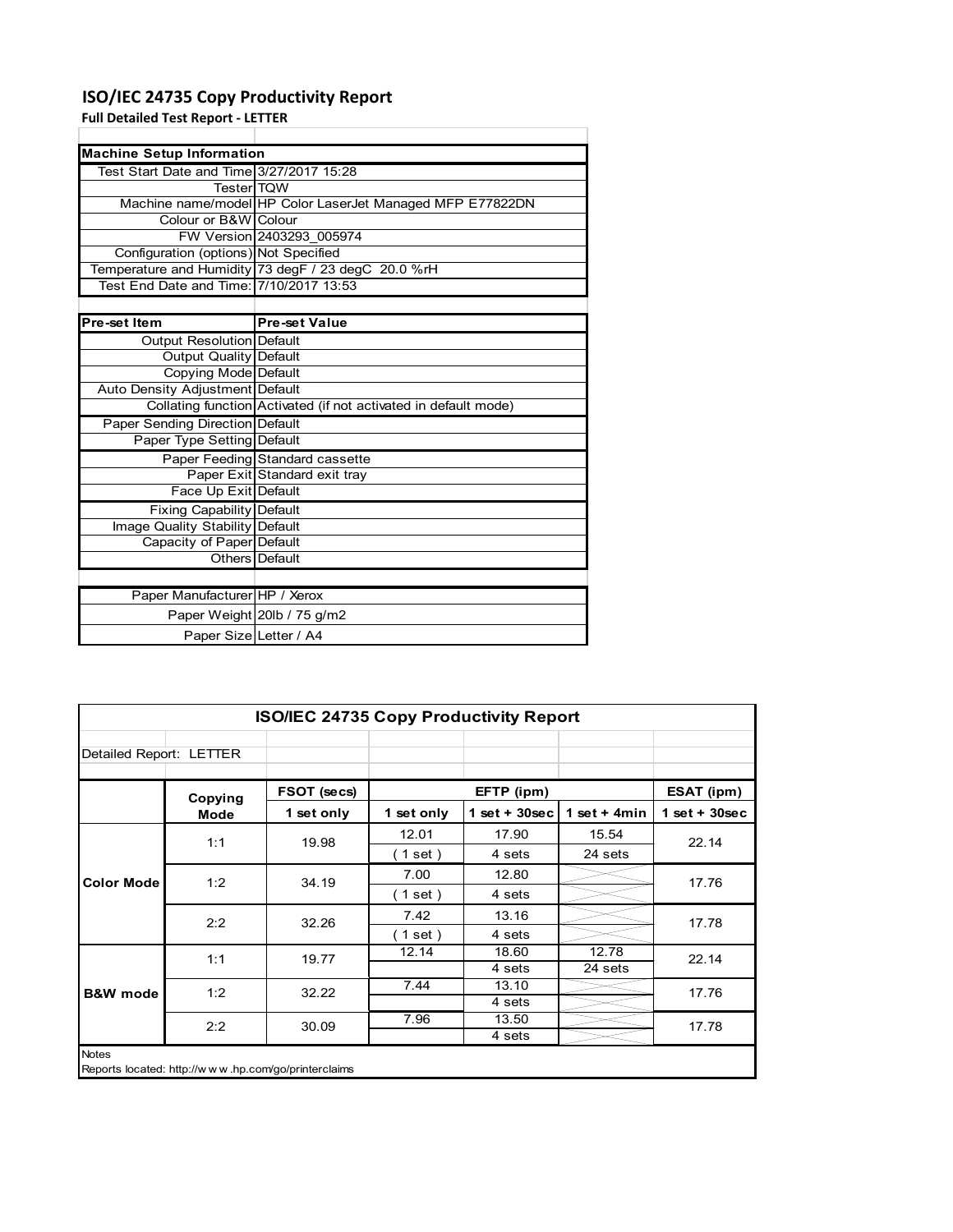### **ISO/IEC 24735 Copy Productivity Report**

Paper Weight 20lb / 75 g/m2 Paper Size Letter / A4

**Full Detailed Test Report ‐ LETTER**

| <b>Machine Setup Information</b>         |                                                                 |  |  |  |
|------------------------------------------|-----------------------------------------------------------------|--|--|--|
| Test Start Date and Time 3/27/2017 15:28 |                                                                 |  |  |  |
| <b>Tester</b> TOW                        |                                                                 |  |  |  |
|                                          | Machine name/model HP Color LaserJet Managed MFP E77822DN       |  |  |  |
| Colour or B&W Colour                     |                                                                 |  |  |  |
|                                          | FW Version 2403293 005974                                       |  |  |  |
| Configuration (options) Not Specified    |                                                                 |  |  |  |
|                                          | Temperature and Humidity 73 degF / 23 degC 20.0 %rH             |  |  |  |
| Test End Date and Time: 7/10/2017 13:53  |                                                                 |  |  |  |
|                                          |                                                                 |  |  |  |
| <b>Pre-set Item</b>                      | <b>Pre-set Value</b>                                            |  |  |  |
| Output Resolution Default                |                                                                 |  |  |  |
| Output Quality Default                   |                                                                 |  |  |  |
| <b>Copying Mode Default</b>              |                                                                 |  |  |  |
| Auto Density Adjustment Default          |                                                                 |  |  |  |
|                                          | Collating function Activated (if not activated in default mode) |  |  |  |
| Paper Sending Direction Default          |                                                                 |  |  |  |
| Paper Type Setting Default               |                                                                 |  |  |  |
|                                          | Paper Feeding Standard cassette                                 |  |  |  |
|                                          | Paper Exit Standard exit tray                                   |  |  |  |
| Face Up Exit Default                     |                                                                 |  |  |  |
| Fixing Capability Default                |                                                                 |  |  |  |
| Image Quality Stability Default          |                                                                 |  |  |  |
| Capacity of Paper Default                |                                                                 |  |  |  |
|                                          | Others Default                                                  |  |  |  |
|                                          |                                                                 |  |  |  |
| Paper Manufacturer HP / Xerox            |                                                                 |  |  |  |

| <b>ISO/IEC 24735 Copy Productivity Report</b>                       |             |             |            |                 |                 |                  |  |  |
|---------------------------------------------------------------------|-------------|-------------|------------|-----------------|-----------------|------------------|--|--|
| Detailed Report: LETTER                                             |             |             |            |                 |                 |                  |  |  |
|                                                                     | Copying     | FSOT (secs) |            | EFTP (ipm)      |                 | ESAT (ipm)       |  |  |
|                                                                     | <b>Mode</b> | 1 set only  | 1 set only | $1$ set + 30sec | 1 set $+$ 4 min | $1 set + 30 sec$ |  |  |
|                                                                     | 1:1         | 19.98       | 12.01      | 17.90           | 15.54           | 22.14            |  |  |
|                                                                     |             |             | (1 set)    | 4 sets          | 24 sets         |                  |  |  |
| <b>Color Mode</b>                                                   | 1:2         | 34.19       | 7.00       | 12.80           |                 | 17.76            |  |  |
|                                                                     |             |             | (1 set)    | 4 sets          |                 |                  |  |  |
|                                                                     | 2:2         | 32.26       | 7.42       | 13.16           |                 | 17.78            |  |  |
|                                                                     |             |             | (1 set)    | 4 sets          |                 |                  |  |  |
|                                                                     | 1:1         | 19.77       | 12.14      | 18.60           | 12.78           | 22.14            |  |  |
|                                                                     |             |             |            | 4 sets          | 24 sets         |                  |  |  |
| <b>B&amp;W</b> mode                                                 | 1:2         | 32.22       | 7.44       | 13.10           |                 | 17.76            |  |  |
|                                                                     |             |             |            | 4 sets          |                 |                  |  |  |
|                                                                     | 2:2         | 30.09       | 7.96       | 13.50           |                 | 17.78            |  |  |
|                                                                     |             |             |            | 4 sets          |                 |                  |  |  |
| <b>Notes</b><br>Reports located: http://www.hp.com/go/printerclaims |             |             |            |                 |                 |                  |  |  |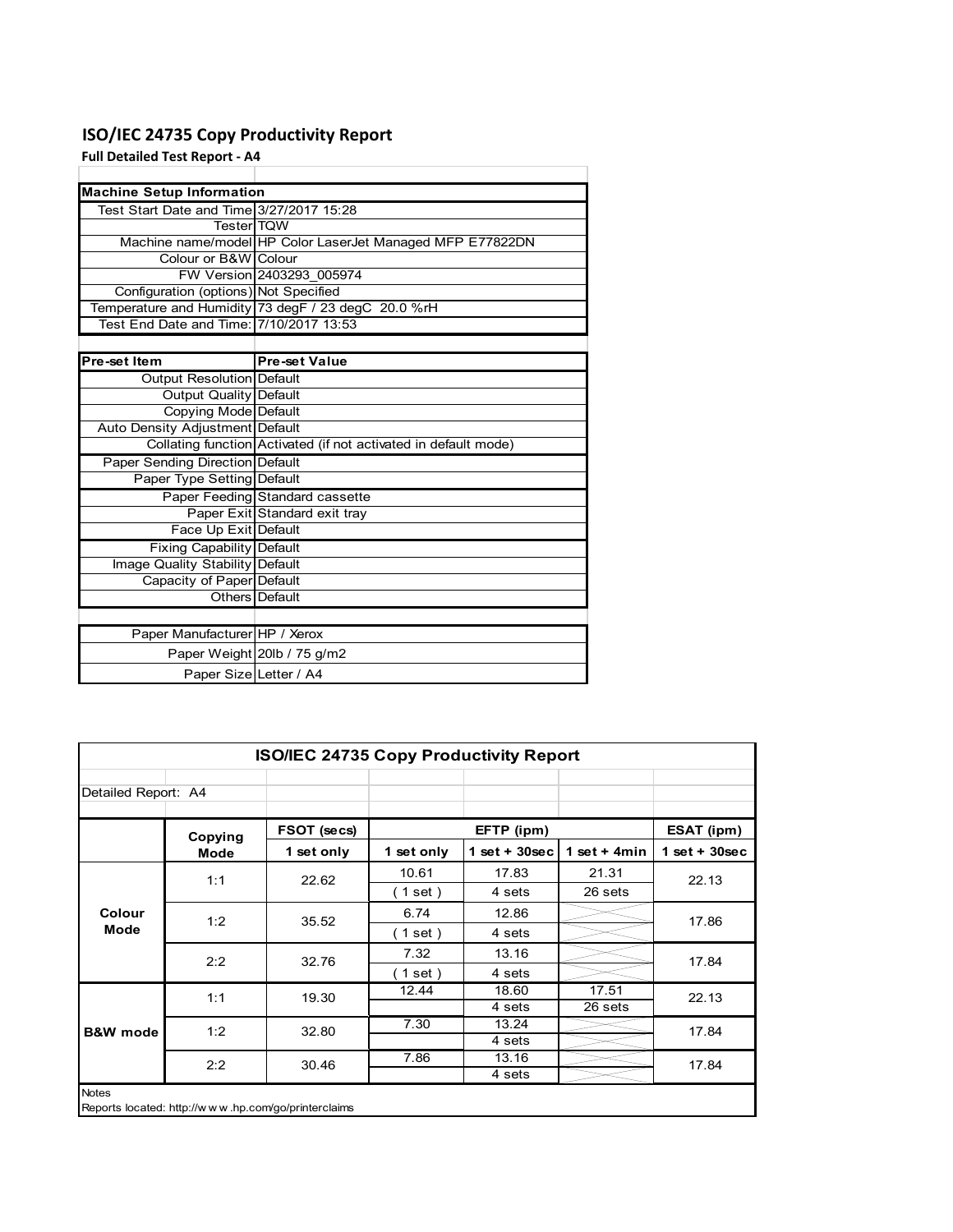## **ISO/IEC 24735 Copy Productivity Report**

**Full Detailed Test Report ‐ A4**

| <b>Machine Setup Information</b>         |                                                                 |
|------------------------------------------|-----------------------------------------------------------------|
| Test Start Date and Time 3/27/2017 15:28 |                                                                 |
| <b>TesterITOW</b>                        |                                                                 |
|                                          | Machine name/model HP Color LaserJet Managed MFP E77822DN       |
| Colour or B&W Colour                     |                                                                 |
|                                          | FW Version 2403293 005974                                       |
| Configuration (options) Not Specified    |                                                                 |
|                                          | Temperature and Humidity 73 degF / 23 degC 20.0 %rH             |
| Test End Date and Time: 7/10/2017 13:53  |                                                                 |
|                                          |                                                                 |
| Pre-set Item                             | <b>Pre-set Value</b>                                            |
| Output Resolution Default                |                                                                 |
| <b>Output Quality Default</b>            |                                                                 |
| Copying Mode Default                     |                                                                 |
| Auto Density Adjustment Default          |                                                                 |
|                                          | Collating function Activated (if not activated in default mode) |
| Paper Sending Direction Default          |                                                                 |
| Paper Type Setting Default               |                                                                 |
|                                          | Paper Feeding Standard cassette                                 |
|                                          | Paper Exit Standard exit tray                                   |
| Face Up Exit Default                     |                                                                 |
| <b>Fixing Capability Default</b>         |                                                                 |
| Image Quality Stability Default          |                                                                 |
| Capacity of Paper Default                |                                                                 |
|                                          | Others Default                                                  |
|                                          |                                                                 |
| Paper Manufacturer HP / Xerox            |                                                                 |
|                                          | Paper Weight 20lb / 75 g/m2                                     |
| Paper Size Letter / A4                   |                                                                 |

| <b>ISO/IEC 24735 Copy Productivity Report</b>                       |         |             |            |                 |                 |                 |  |  |
|---------------------------------------------------------------------|---------|-------------|------------|-----------------|-----------------|-----------------|--|--|
| Detailed Report: A4                                                 |         |             |            |                 |                 |                 |  |  |
|                                                                     | Copying | FSOT (secs) |            | EFTP (ipm)      |                 | ESAT (ipm)      |  |  |
|                                                                     | Mode    | 1 set only  | 1 set only | $1$ set + 30sec | 1 set + 4 $min$ | $1$ set + 30sec |  |  |
|                                                                     | 1:1     | 22.62       | 10.61      | 17.83           | 21.31           | 22.13           |  |  |
|                                                                     |         |             | (1 set)    | 4 sets          | 26 sets         |                 |  |  |
| Colour                                                              | 1:2     | 35.52       | 6.74       | 12.86           |                 | 17.86           |  |  |
| Mode                                                                |         |             | (1 set )   | 4 sets          |                 |                 |  |  |
|                                                                     | 2:2     | 32.76       | 7.32       | 13.16           |                 | 17.84           |  |  |
|                                                                     |         |             | (1 set)    | 4 sets          |                 |                 |  |  |
|                                                                     | 1:1     | 19.30       | 12.44      | 18.60           | 17.51           | 22.13           |  |  |
|                                                                     |         |             |            | 4 sets          | 26 sets         |                 |  |  |
| <b>B&amp;W</b> mode                                                 | 1:2     | 32.80       | 7.30       | 13.24           |                 | 17.84           |  |  |
|                                                                     |         |             |            | 4 sets          |                 |                 |  |  |
|                                                                     | 2:2     | 30.46       | 7.86       | 13.16           |                 | 17.84           |  |  |
|                                                                     |         |             |            | 4 sets          |                 |                 |  |  |
| <b>Notes</b><br>Reports located: http://www.hp.com/go/printerclaims |         |             |            |                 |                 |                 |  |  |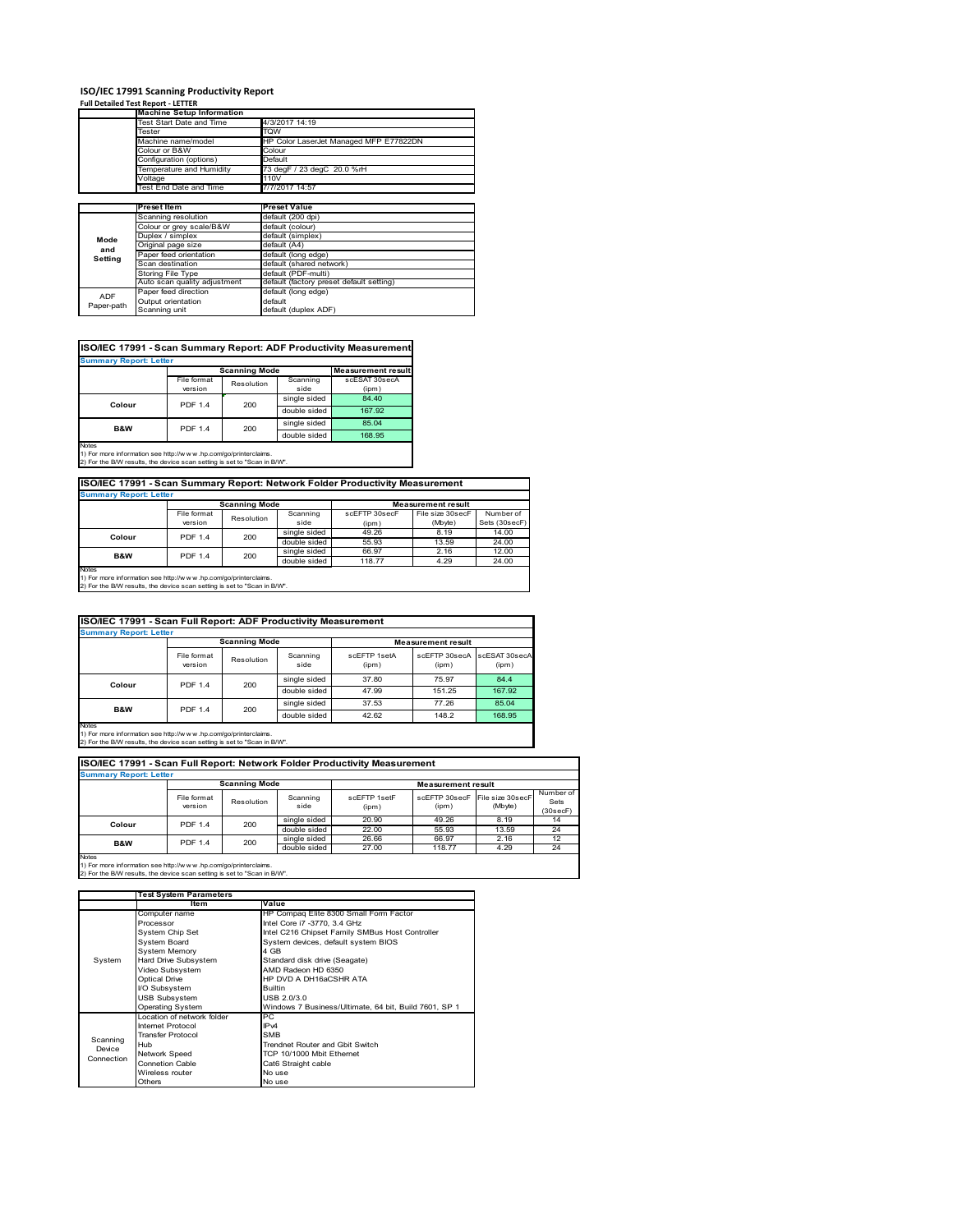## **ISO/IEC 17991 Scanning Productivity Report Full Detailed Test Report ‐ LETTER**

|            | <b>Machine Setup Information</b> |                                          |  |  |  |  |
|------------|----------------------------------|------------------------------------------|--|--|--|--|
|            | Test Start Date and Time         | 4/3/2017 14:19                           |  |  |  |  |
|            | Tester                           | TQW                                      |  |  |  |  |
|            | Machine name/model               | HP Color LaserJet Managed MFP E77822DN   |  |  |  |  |
|            | Colour or B&W                    | Colour                                   |  |  |  |  |
|            | Configuration (options)          | Default                                  |  |  |  |  |
|            | Temperature and Humidity         | 73 degF / 23 degC 20.0 %rH               |  |  |  |  |
|            | Voltage                          | 110V                                     |  |  |  |  |
|            | Test End Date and Time           | 7/7/2017 14:57                           |  |  |  |  |
|            |                                  |                                          |  |  |  |  |
|            | Preset Item                      | <b>Preset Value</b>                      |  |  |  |  |
|            | Scanning resolution              | default (200 dpi)                        |  |  |  |  |
|            | Colour or grey scale/B&W         | default (colour)                         |  |  |  |  |
| Mode       | Duplex / simplex                 | default (simplex)                        |  |  |  |  |
| and        | Original page size               | default (A4)                             |  |  |  |  |
| Setting    | Paper feed orientation           | default (long edge)                      |  |  |  |  |
|            | Scan destination                 | default (shared network)                 |  |  |  |  |
|            | <b>Storing File Type</b>         | default (PDF-multi)                      |  |  |  |  |
|            | Auto scan quality adjustment     | default (factory preset default setting) |  |  |  |  |
| <b>ADF</b> | Paper feed direction             | default (long edge)                      |  |  |  |  |
|            | Output orientation               | default                                  |  |  |  |  |
| Paper-path | Scanning unit                    | default (duplex ADF)                     |  |  |  |  |

| ISO/IEC 17991 - Scan Summary Report: ADF Productivity Measurement |                |                      |              |                           |  |  |  |
|-------------------------------------------------------------------|----------------|----------------------|--------------|---------------------------|--|--|--|
| <b>Summary Report: Letter</b>                                     |                |                      |              |                           |  |  |  |
|                                                                   |                | <b>Scanning Mode</b> |              | <b>Measurement result</b> |  |  |  |
|                                                                   | File format    | Resolution           | Scanning     | scESAT 30secA             |  |  |  |
|                                                                   | version        |                      | side         | (ipm)                     |  |  |  |
| Colour                                                            | <b>PDF 1.4</b> | 200                  | single sided | 84.40                     |  |  |  |
|                                                                   |                |                      | double sided | 167.92                    |  |  |  |
| <b>B&amp;W</b>                                                    | <b>PDF 1.4</b> | 200                  | single sided | 85.04                     |  |  |  |
|                                                                   |                |                      | double sided | 168.95                    |  |  |  |
| <b>Notes</b>                                                      |                |                      |              |                           |  |  |  |

Notes 1) For more information see http://w w w .hp.com/go/printerclaims. 2) For the B/W results, the device scan setting is set to "Scan in B/W".

**ISO/IEC 17991 - Scan Summary Report: Network Folder Productivity Measurement**

| <b>Summary Report: Letter</b> |                      |            |              |                           |                  |               |  |
|-------------------------------|----------------------|------------|--------------|---------------------------|------------------|---------------|--|
|                               | <b>Scanning Mode</b> |            |              | <b>Measurement result</b> |                  |               |  |
|                               | File format          | Resolution | Scanning     | scEFTP 30secF             | File size 30secF | Number of     |  |
|                               | version              |            | side         | (ipm)                     | (Mbyte)          | Sets (30secF) |  |
| Colour                        | <b>PDF 1.4</b>       | 200        | single sided | 49.26                     | 8.19             | 14.00         |  |
|                               |                      |            | double sided | 55.93                     | 13.59            | 24.00         |  |
| <b>B&amp;W</b>                | <b>PDF 1.4</b>       | 200        | single sided | 66.97                     | 2.16             | 12.00         |  |
|                               |                      |            | double sided | 118.77                    | 4.29             | 24.00         |  |
| Notes                         |                      |            |              |                           |                  |               |  |

┓

Notes 1) For more information see http://w w w .hp.com/go/printerclaims. 2) For the B/W results, the device scan setting is set to "Scan in B/W".

| ISO/IEC 17991 - Scan Full Report: ADF Productivity Measurement |                        |            |                  |                           |                        |                        |  |  |
|----------------------------------------------------------------|------------------------|------------|------------------|---------------------------|------------------------|------------------------|--|--|
| <b>Summary Report: Letter</b>                                  |                        |            |                  |                           |                        |                        |  |  |
|                                                                | <b>Scanning Mode</b>   |            |                  | <b>Measurement result</b> |                        |                        |  |  |
|                                                                | File format<br>version | Resolution | Scanning<br>side | scEFTP 1setA<br>(ipm)     | scEFTP 30secA<br>(ipm) | scESAT 30secA<br>(ipm) |  |  |
|                                                                | <b>PDF 1.4</b>         | 200        | single sided     | 37.80                     | 75.97                  | 84.4                   |  |  |
| Colour                                                         |                        |            | double sided     | 47.99                     | 151.25                 | 167.92                 |  |  |
| <b>B&amp;W</b>                                                 |                        |            | single sided     | 37.53                     | 77.26                  | 85.04                  |  |  |
|                                                                | <b>PDF 1.4</b>         | 200        | double sided     | 42.62                     | 148.2                  | 168.95                 |  |  |
| <b>Notes</b>                                                   |                        |            |                  |                           |                        |                        |  |  |

Notes 1) For more information see http://w w w .hp.com/go/printerclaims. 2) For the B/W results, the device scan setting is set to "Scan in B/W".

| ISO/IEC 17991 - Scan Full Report: Network Folder Productivity Measurement |                        |            |                  |                       |                           |                             |                               |  |
|---------------------------------------------------------------------------|------------------------|------------|------------------|-----------------------|---------------------------|-----------------------------|-------------------------------|--|
| <b>Summary Report: Letter</b>                                             |                        |            |                  |                       |                           |                             |                               |  |
|                                                                           | <b>Scanning Mode</b>   |            |                  |                       | <b>Measurement result</b> |                             |                               |  |
|                                                                           | File format<br>version | Resolution | Scanning<br>side | scEETP 1setE<br>(ipm) | scEFTP 30secF<br>(ipm)    | File size 30secF<br>(Mbyte) | Number of<br>Sets<br>(30secF) |  |
| Colour                                                                    | <b>PDF 1.4</b>         | 200        | single sided     | 20.90                 | 49.26                     | 8.19                        | 14                            |  |
|                                                                           |                        |            | double sided     | 22.00                 | 55.93                     | 13.59                       | 24                            |  |
| <b>B&amp;W</b>                                                            | <b>PDF 1.4</b>         | 200        | single sided     | 26.66                 | 66.97                     | 2.16                        | 12                            |  |
|                                                                           |                        |            | double sided     | 27.00                 | 118.77                    | 4.29                        | 24                            |  |
| <b>Notes</b>                                                              |                        |            |                  |                       |                           |                             |                               |  |

|            | <b>Test System Parameters</b> |                                                       |  |  |
|------------|-------------------------------|-------------------------------------------------------|--|--|
|            | Item                          | Value                                                 |  |  |
|            | Computer name                 | HP Compaq Elite 8300 Small Form Factor                |  |  |
|            | Processor                     | Intel Core i7 -3770, 3.4 GHz                          |  |  |
|            | System Chip Set               | Intel C216 Chipset Family SMBus Host Controller       |  |  |
|            | <b>System Board</b>           | System devices, default system BIOS                   |  |  |
|            | <b>System Memory</b>          | 4 GB                                                  |  |  |
| System     | Hard Drive Subsystem          | Standard disk drive (Seagate)                         |  |  |
|            | Video Subsystem               | AMD Radeon HD 6350                                    |  |  |
|            | Optical Drive                 | HP DVD A DH16aCSHR ATA                                |  |  |
|            | I/O Subsystem                 | <b>Builtin</b>                                        |  |  |
|            | <b>USB Subsystem</b>          | USB 2.0/3.0                                           |  |  |
|            | Operating System              | Windows 7 Business/Ultimate, 64 bit, Build 7601, SP 1 |  |  |
|            | I ocation of network folder   | PC                                                    |  |  |
|            | Internet Protocol             | IP <sub>v4</sub>                                      |  |  |
| Scanning   | <b>Transfer Protocol</b>      | <b>SMB</b>                                            |  |  |
| Device     | Hub                           | Trendnet Router and Gbit Switch                       |  |  |
| Connection | Network Speed                 | TCP 10/1000 Mbit Ethernet                             |  |  |
|            | <b>Connetion Cable</b>        | Cat6 Straight cable                                   |  |  |
|            | Wireless router               | No use                                                |  |  |
|            | Others                        | No use                                                |  |  |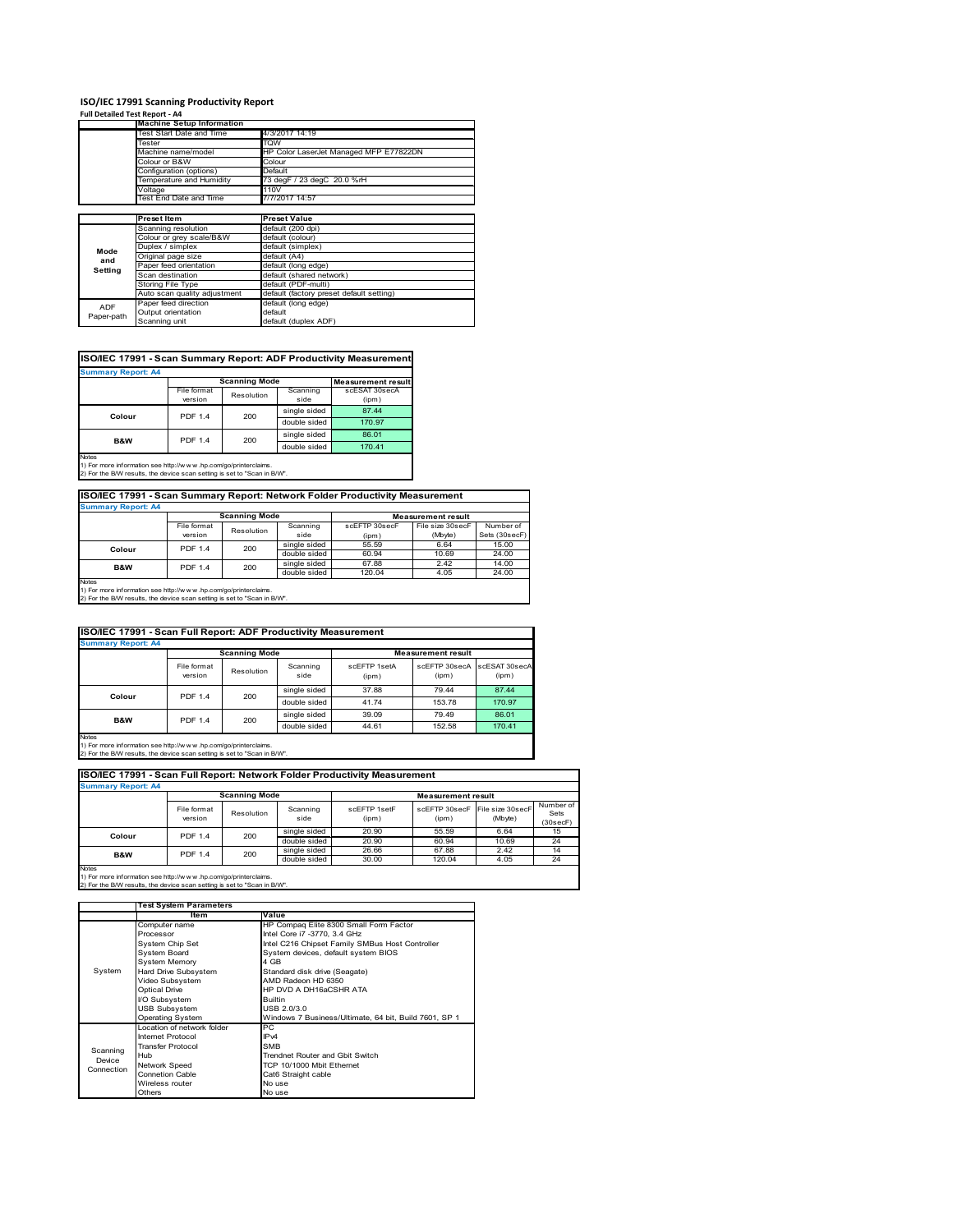#### **ISO/IEC 17991 Scanning Productivity Report**

| Full Detailed Test Report - A4 |                                  |                                          |  |  |  |
|--------------------------------|----------------------------------|------------------------------------------|--|--|--|
|                                | <b>Machine Setup Information</b> |                                          |  |  |  |
|                                | Test Start Date and Time         | 4/3/2017 14:19                           |  |  |  |
|                                | Tester                           | <b>TQW</b>                               |  |  |  |
|                                | Machine name/model               | HP Color LaserJet Managed MFP E77822DN   |  |  |  |
|                                | Colour or B&W                    | Colour                                   |  |  |  |
|                                | Configuration (options)          | Default                                  |  |  |  |
|                                | Temperature and Humidity         | 73 degF / 23 degC 20.0 %rH               |  |  |  |
|                                | Voltage                          | 110V                                     |  |  |  |
|                                | Test End Date and Time           | 7/7/2017 14:57                           |  |  |  |
|                                |                                  |                                          |  |  |  |
|                                | <b>Preset Item</b>               | <b>Preset Value</b>                      |  |  |  |
|                                | Scanning resolution              | default (200 dpi)                        |  |  |  |
|                                | Colour or grey scale/B&W         | default (colour)                         |  |  |  |
| Mode                           | Duplex / simplex                 | default (simplex)                        |  |  |  |
| and                            | Original page size               | default (A4)                             |  |  |  |
| Setting                        | Paper feed orientation           | default (long edge)                      |  |  |  |
|                                | Scan destination                 | default (shared network)                 |  |  |  |
|                                | Storing File Type                | default (PDF-multi)                      |  |  |  |
|                                | Auto scan quality adjustment     | default (factory preset default setting) |  |  |  |
| <b>ADF</b>                     | Paper feed direction             | default (long edge)                      |  |  |  |
| Paper-path                     | Output orientation               | default                                  |  |  |  |
|                                | Scanning unit                    | default (duplex ADF)                     |  |  |  |

### **ISO/IEC 17991 - Scan Summary Report: ADF Productivity Measurement**

| <b>Summary Report: A4</b> |                |                      |              |                           |  |  |  |
|---------------------------|----------------|----------------------|--------------|---------------------------|--|--|--|
|                           |                | <b>Scanning Mode</b> |              | <b>Measurement result</b> |  |  |  |
|                           | File format    | Resolution           | Scanning     | scESAT 30secA             |  |  |  |
|                           | version        |                      | side         | (ipm)                     |  |  |  |
| Colour                    | <b>PDF 1.4</b> | 200                  | single sided | 87.44                     |  |  |  |
|                           |                |                      | double sided | 170.97                    |  |  |  |
| <b>B&amp;W</b>            | <b>PDF 1.4</b> | 200                  | single sided | 86.01                     |  |  |  |
|                           |                |                      | double sided | 170.41                    |  |  |  |
| <b>Notes</b>              |                |                      |              |                           |  |  |  |

1) For more information see http://w w w .hp.com/go/printerclaims. 2) For the B/W results, the device scan setting is set to "Scan in B/W".

### **ISO/IEC 17991 - Scan Summary Report: Network Folder Productivity Measurement Summary Report: A4**

| <b>BUILDIARY INCLUIL AT</b> |                      |            |              |                           |                  |               |  |
|-----------------------------|----------------------|------------|--------------|---------------------------|------------------|---------------|--|
|                             | <b>Scanning Mode</b> |            |              | <b>Measurement result</b> |                  |               |  |
|                             | File format          | Resolution | Scanning     | scEFTP 30secF             | File size 30secF | Number of     |  |
|                             | version              |            | side         | (ipm)                     | (Mbyte)          | Sets (30secF) |  |
| Colour                      | <b>PDF 1.4</b>       | 200        | single sided | 55.59                     | 6.64             | 15.00         |  |
|                             |                      |            | double sided | 60.94                     | 10.69            | 24.00         |  |
| <b>B&amp;W</b>              | <b>PDF 1.4</b>       | 200        | single sided | 67.88                     | 2.42             | 14.00         |  |
|                             |                      |            | double sided | 120.04                    | 4.05             | 24.00         |  |
| Notes                       |                      |            |              |                           |                  |               |  |

Notes 1) For more information see http://w w w .hp.com/go/printerclaims. 2) For the B/W results, the device scan setting is set to "Scan in B/W".

| ISO/IEC 17991 - Scan Full Report: ADF Productivity Measurement |                        |                      |                  |                       |                           |                        |  |  |
|----------------------------------------------------------------|------------------------|----------------------|------------------|-----------------------|---------------------------|------------------------|--|--|
| <b>Summary Report: A4</b>                                      |                        |                      |                  |                       |                           |                        |  |  |
|                                                                |                        | <b>Scanning Mode</b> |                  |                       | <b>Measurement result</b> |                        |  |  |
|                                                                | File format<br>version | Resolution           | Scanning<br>side | scFFTP 1setA<br>(ipm) | scEETP 30secA<br>(ipm)    | scESAT 30secA<br>(ipm) |  |  |
| Colour                                                         | <b>PDF 1.4</b>         | 200                  | single sided     | 37.88                 | 79.44                     | 87.44                  |  |  |
|                                                                |                        |                      | double sided     | 41.74                 | 153.78                    | 170.97                 |  |  |
| <b>B&amp;W</b>                                                 | <b>PDF 1.4</b>         | 200                  | single sided     | 39.09                 | 79.49                     | 86.01                  |  |  |
|                                                                |                        |                      | double sided     | 44.61                 | 152.58                    | 170.41                 |  |  |
| <b>Notes</b>                                                   |                        |                      |                  |                       |                           |                        |  |  |

Notes 1) For more information see http://w w w .hp.com/go/printerclaims. 2) For the B/W results, the device scan setting is set to "Scan in B/W".

| ISO/IEC 17991 - Scan Full Report: Network Folder Productivity Measurement |                        |            |                  |                       |                           |                                           |                               |  |
|---------------------------------------------------------------------------|------------------------|------------|------------------|-----------------------|---------------------------|-------------------------------------------|-------------------------------|--|
| <b>Summary Report: A4</b>                                                 |                        |            |                  |                       |                           |                                           |                               |  |
| <b>Scanning Mode</b>                                                      |                        |            |                  |                       | <b>Measurement result</b> |                                           |                               |  |
|                                                                           | File format<br>version | Resolution | Scanning<br>side | scFFTP 1setF<br>(ipm) | (ipm)                     | scEFTP 30secF File size 30secF<br>(Mbyte) | Number of<br>Sets<br>(30secF) |  |
| Colour                                                                    | <b>PDF 1.4</b>         | 200        | single sided     | 20.90                 | 55.59                     | 6.64                                      | 15                            |  |
|                                                                           |                        |            | double sided     | 20.90                 | 60.94                     | 10.69                                     | 24                            |  |
| <b>B&amp;W</b>                                                            | <b>PDF 1.4</b>         | 200        | single sided     | 26.66                 | 67.88                     | 2.42                                      | 14                            |  |
|                                                                           |                        |            | double sided     | 30.00                 | 120.04                    | 4.05                                      | 24                            |  |
| <b>Notes</b>                                                              |                        |            |                  |                       |                           |                                           |                               |  |

|            | <b>Test System Parameters</b> |                                                       |  |  |
|------------|-------------------------------|-------------------------------------------------------|--|--|
|            | <b>Item</b>                   | Value                                                 |  |  |
|            | Computer name                 | HP Compaq Elite 8300 Small Form Factor                |  |  |
|            | Processor                     | Intel Core i7 -3770, 3.4 GHz                          |  |  |
|            | System Chip Set               | Intel C216 Chipset Family SMBus Host Controller       |  |  |
|            | <b>System Board</b>           | System devices, default system BIOS                   |  |  |
|            | <b>System Memory</b>          | 4 GB                                                  |  |  |
| System     | Hard Drive Subsystem          | Standard disk drive (Seagate)                         |  |  |
|            | Video Subsystem               | AMD Radeon HD 6350                                    |  |  |
|            | <b>Optical Drive</b>          | HP DVD A DH16aCSHR ATA                                |  |  |
|            | I/O Subsystem                 | <b>Builtin</b>                                        |  |  |
|            | <b>USB Subsystem</b>          | USB 2.0/3.0                                           |  |  |
|            | <b>Operating System</b>       | Windows 7 Business/Ultimate, 64 bit, Build 7601, SP 1 |  |  |
|            | I ocation of network folder   | РC                                                    |  |  |
|            | <b>Internet Protocol</b>      | IP <sub>v4</sub>                                      |  |  |
| Scanning   | <b>Transfer Protocol</b>      | <b>SMB</b>                                            |  |  |
| Device     | Hub                           | Trendnet Router and Gbit Switch                       |  |  |
| Connection | Network Speed                 | TCP 10/1000 Mbit Ethernet                             |  |  |
|            | Connetion Cable               | Cat6 Straight cable                                   |  |  |
|            | Wireless router               | No use                                                |  |  |
|            | Others                        | No use                                                |  |  |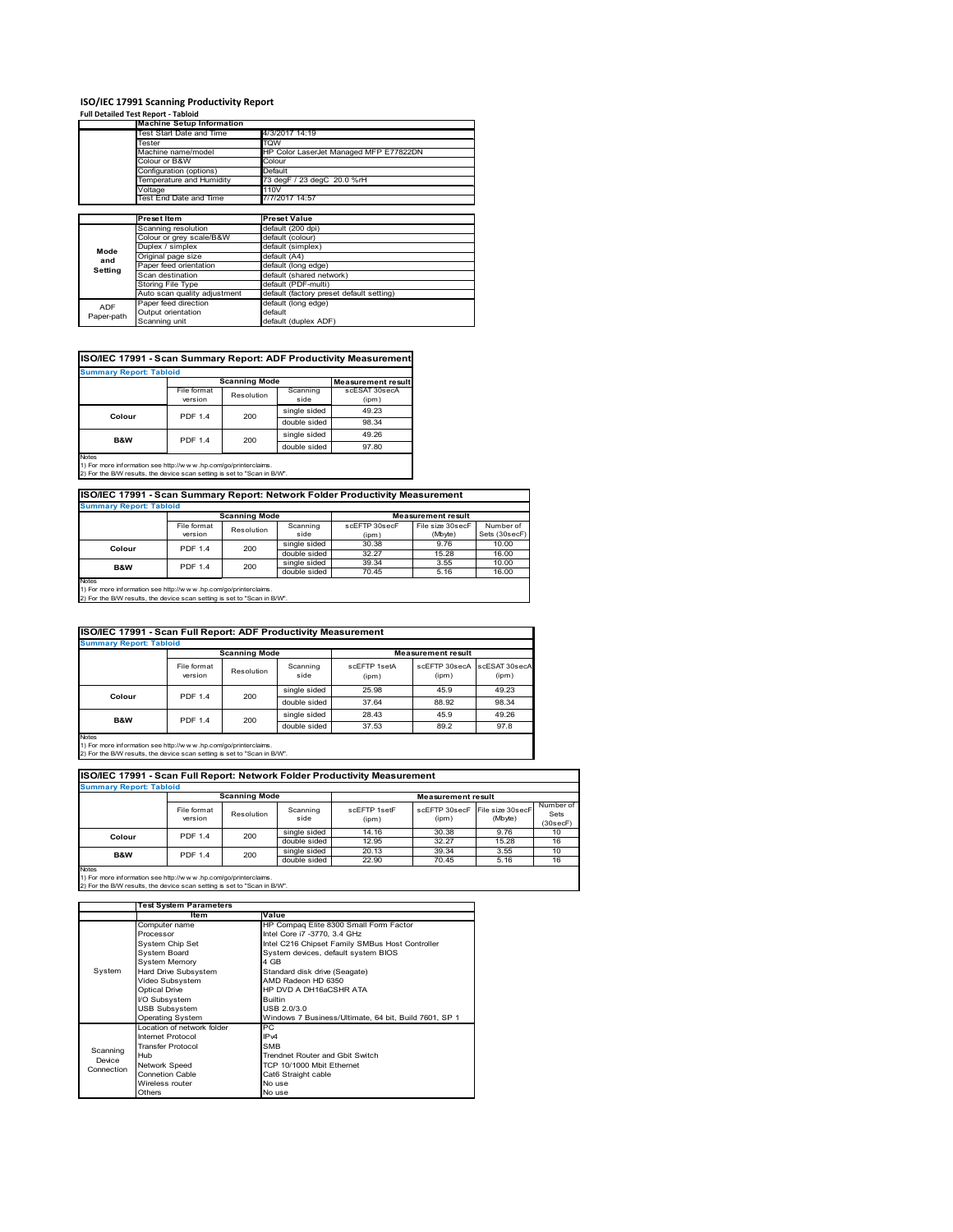#### **ISO/IEC 17991 Scanning Productivity Report**

|         | <b>Full Detailed Test Report - Tabloid</b> |                                          |  |  |  |
|---------|--------------------------------------------|------------------------------------------|--|--|--|
|         | <b>Machine Setup Information</b>           |                                          |  |  |  |
|         | Test Start Date and Time                   | 4/3/2017 14:19                           |  |  |  |
|         | Tester                                     | TQW                                      |  |  |  |
|         | Machine name/model                         | HP Color LaserJet Managed MFP E77822DN   |  |  |  |
|         | Colour or B&W                              | Colour                                   |  |  |  |
|         | Configuration (options)                    | Default                                  |  |  |  |
|         | Temperature and Humidity                   | 73 degF / 23 degC 20.0 %rH               |  |  |  |
|         | Voltage                                    | 110V                                     |  |  |  |
|         | Test End Date and Time                     | 7/7/2017 14:57                           |  |  |  |
|         |                                            |                                          |  |  |  |
|         | Preset Item                                | <b>Preset Value</b>                      |  |  |  |
|         | Scanning resolution                        | default (200 dpi)                        |  |  |  |
|         | Colour or grey scale/B&W                   | default (colour)                         |  |  |  |
| Mode    | Duplex / simplex                           | default (simplex)                        |  |  |  |
| and     | Original page size                         | default (A4)                             |  |  |  |
|         | Paper feed orientation                     | default (long edge)                      |  |  |  |
| Setting | Scan destination                           | default (shared network)                 |  |  |  |
|         | Storing File Type                          | default (PDF-multi)                      |  |  |  |
|         | Auto scan quality adjustment               | default (factory preset default setting) |  |  |  |

### **ISO/IEC 17991 - Scan Summary Report: ADF Productivity Measurement**

Paper feed direction default (long edge)<br>Output orientation default Scanning unit default (duplex ADF)

| <b>Summary Report: Tabloid</b> |                        |                      |                  |                           |  |  |
|--------------------------------|------------------------|----------------------|------------------|---------------------------|--|--|
|                                |                        | <b>Scanning Mode</b> |                  | <b>Measurement result</b> |  |  |
|                                | File format<br>version | Resolution           | Scanning<br>side | scESAT 30secA<br>(ipm)    |  |  |
| Colour                         | <b>PDF 1.4</b>         | 200                  | single sided     | 49.23                     |  |  |
|                                |                        |                      | double sided     | 98.34                     |  |  |
| <b>B&amp;W</b>                 | <b>PDF 1.4</b>         | 200                  | single sided     | 49.26                     |  |  |
|                                |                        |                      | double sided     | 97.80                     |  |  |
| <b>Notes</b>                   |                        |                      |                  |                           |  |  |

Notes 1) For more information see http://w w w .hp.com/go/printerclaims. 2) For the B/W results, the device scan setting is set to "Scan in B/W".

ADF Paper-path

### **ISO/IEC 17991 - Scan Summary Report: Network Folder Productivity Measurement**

| <b>Summary Report: Tabloid</b> |                      |            |              |                           |                  |               |  |
|--------------------------------|----------------------|------------|--------------|---------------------------|------------------|---------------|--|
|                                | <b>Scanning Mode</b> |            |              | <b>Measurement result</b> |                  |               |  |
|                                | File format          | Resolution | Scanning     | scEFTP 30secF             | File size 30secF | Number of     |  |
|                                | version              |            | side         | (ipm)                     | (Mbyte)          | Sets (30secF) |  |
| Colour                         | <b>PDF 1.4</b>       | 200        | single sided | 30.38                     | 9.76             | 10.00         |  |
|                                |                      |            | double sided | 32.27                     | 15.28            | 16.00         |  |
| B&W                            | <b>PDF 1.4</b>       | 200        | single sided | 39.34                     | 3.55             | 10.00         |  |
|                                |                      |            | double sided | 70.45                     | 5.16             | 16.00         |  |
| Notes                          |                      |            |              |                           |                  |               |  |

Notes 1) For more information see http://w w w .hp.com/go/printerclaims. 2) For the B/W results, the device scan setting is set to "Scan in B/W".

| ISO/IEC 17991 - Scan Full Report: ADF Productivity Measurement |                        |                      |                  |                       |                                      |       |  |  |
|----------------------------------------------------------------|------------------------|----------------------|------------------|-----------------------|--------------------------------------|-------|--|--|
| <b>Summary Report: Tabloid</b>                                 |                        |                      |                  |                       |                                      |       |  |  |
|                                                                |                        | <b>Scanning Mode</b> |                  |                       | <b>Measurement result</b>            |       |  |  |
|                                                                | File format<br>version | Resolution           | Scanning<br>side | scFFTP 1setA<br>(ipm) | scEFTP 30secA scESAT 30secA<br>(ipm) | (ipm) |  |  |
| Colour                                                         | <b>PDF 1.4</b>         | 200                  | single sided     | 25.98                 | 45.9                                 | 49.23 |  |  |
|                                                                |                        |                      | double sided     | 37.64                 | 88.92                                | 98.34 |  |  |
| B&W                                                            | <b>PDF 1.4</b>         | 200                  | single sided     | 28.43                 | 45.9                                 | 49.26 |  |  |
|                                                                |                        |                      | double sided     | 37.53                 | 89.2                                 | 97.8  |  |  |
| <b>Notes</b>                                                   |                        |                      |                  |                       |                                      |       |  |  |

Notes 1) For more information see http://w w w .hp.com/go/printerclaims. 2) For the B/W results, the device scan setting is set to "Scan in B/W".

| ISO/IEC 17991 - Scan Full Report: Network Folder Productivity Measurement |                        |                      |                  |                       |                           |                             |                               |  |
|---------------------------------------------------------------------------|------------------------|----------------------|------------------|-----------------------|---------------------------|-----------------------------|-------------------------------|--|
| <b>Summary Report: Tabloid</b>                                            |                        |                      |                  |                       |                           |                             |                               |  |
|                                                                           |                        | <b>Scanning Mode</b> |                  |                       | <b>Measurement result</b> |                             |                               |  |
|                                                                           | File format<br>version | Resolution           | Scanning<br>side | scFFTP 1setF<br>(ipm) | scEFTP 30secF<br>(ipm)    | File size 30secF<br>(Mbyte) | Number of<br>Sets<br>(30secF) |  |
| Colour                                                                    | <b>PDF 1.4</b>         | 200                  | single sided     | 14.16                 | 30.38                     | 9.76                        | 10                            |  |
|                                                                           |                        |                      | double sided     | 12.95                 | 32.27                     | 15.28                       | 16                            |  |
| <b>B&amp;W</b>                                                            | <b>PDF 1.4</b>         | 200                  | single sided     | 20.13                 | 39.34                     | 3.55                        | 10                            |  |
|                                                                           |                        |                      | double sided     | 22.90                 | 70.45                     | 5.16                        | 16                            |  |
| <b>Notes</b>                                                              |                        |                      |                  |                       |                           |                             |                               |  |

|            | <b>Test System Parameters</b> |                                                       |  |  |
|------------|-------------------------------|-------------------------------------------------------|--|--|
|            | Item                          | Value                                                 |  |  |
|            | Computer name                 | HP Compaq Elite 8300 Small Form Factor                |  |  |
|            | Processor                     | Intel Core i7 -3770, 3.4 GHz                          |  |  |
|            | System Chip Set               | Intel C216 Chipset Family SMBus Host Controller       |  |  |
|            | <b>System Board</b>           | System devices, default system BIOS                   |  |  |
|            | <b>System Memory</b>          | 4 GB                                                  |  |  |
| System     | Hard Drive Subsystem          | Standard disk drive (Seagate)                         |  |  |
|            | Video Subsystem               | AMD Radeon HD 6350                                    |  |  |
|            | <b>Optical Drive</b>          | HP DVD A DH16aCSHR ATA                                |  |  |
|            | I/O Subsystem                 | <b>Builtin</b>                                        |  |  |
|            | <b>USB Subsystem</b>          | USB 2.0/3.0                                           |  |  |
|            | <b>Operating System</b>       | Windows 7 Business/Ultimate, 64 bit, Build 7601, SP 1 |  |  |
|            | Location of network folder    | РC                                                    |  |  |
|            | Internet Protocol             | IP <sub>v4</sub>                                      |  |  |
| Scanning   | <b>Transfer Protocol</b>      | <b>SMB</b>                                            |  |  |
| Device     | Hub                           | Trendnet Router and Gbit Switch                       |  |  |
| Connection | Network Speed                 | TCP 10/1000 Mbit Ethernet                             |  |  |
|            | <b>Connetion Cable</b>        | Cat6 Straight cable                                   |  |  |
|            | Wireless router               | No use                                                |  |  |
|            | Others                        | No use                                                |  |  |